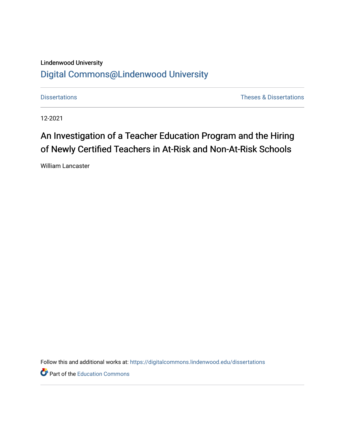## Lindenwood University [Digital Commons@Lindenwood University](https://digitalcommons.lindenwood.edu/)

[Dissertations](https://digitalcommons.lindenwood.edu/dissertations) [Theses & Dissertations](https://digitalcommons.lindenwood.edu/theses-dissertations) 

12-2021

# An Investigation of a Teacher Education Program and the Hiring of Newly Certified Teachers in At-Risk and Non-At-Risk Schools

William Lancaster

Follow this and additional works at: [https://digitalcommons.lindenwood.edu/dissertations](https://digitalcommons.lindenwood.edu/dissertations?utm_source=digitalcommons.lindenwood.edu%2Fdissertations%2F689&utm_medium=PDF&utm_campaign=PDFCoverPages) 

**P** Part of the [Education Commons](http://network.bepress.com/hgg/discipline/784?utm_source=digitalcommons.lindenwood.edu%2Fdissertations%2F689&utm_medium=PDF&utm_campaign=PDFCoverPages)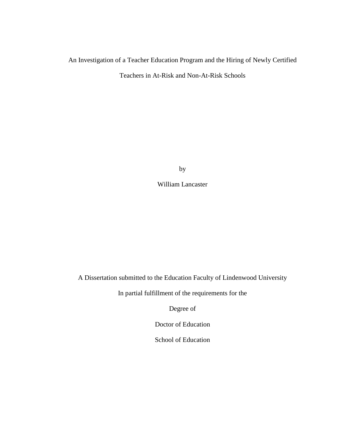## An Investigation of a Teacher Education Program and the Hiring of Newly Certified

Teachers in At-Risk and Non-At-Risk Schools

by

William Lancaster

A Dissertation submitted to the Education Faculty of Lindenwood University

In partial fulfillment of the requirements for the

Degree of

Doctor of Education

School of Education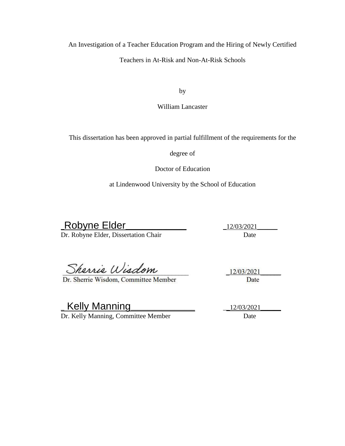An Investigation of a Teacher Education Program and the Hiring of Newly Certified

Teachers in At-Risk and Non-At-Risk Schools

by

William Lancaster

This dissertation has been approved in partial fulfillment of the requirements for the

degree of

Doctor of Education

at Lindenwood University by the School of Education

Robyne Elder 12/03/2021<br>Dr. Robyne Elder, Dissertation Chair 12/03/2021 Dr. Robyne Elder, Dissertation Chair

Sherrie Wisdom

Dr. Sherrie Wisdom, Committee Member

12/03/2021 Date

\_ Kelly Manning\_\_\_\_\_\_\_\_\_\_\_\_\_\_\_\_\_\_\_ \_\_12/03/2021\_\_\_\_\_\_ Dr. Kelly Manning, Committee Member Date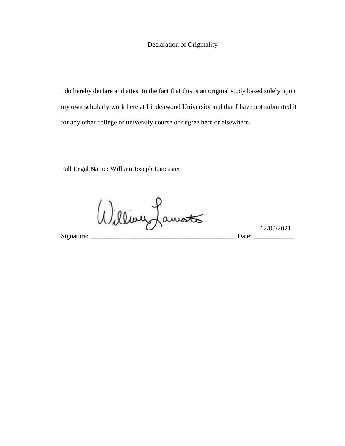### Declaration of Originality

I do hereby declare and attest to the fact that this is an original study based solely upon my own scholarly work here at Lindenwood University and that I have not submitted it for any other college or university course or degree here or elsewhere.

Full Legal Name: William Joseph Lancaster

 $12/03/2021$ 

Signature: \_\_\_\_\_\_\_\_\_\_\_\_\_\_\_\_\_\_\_\_\_\_\_\_\_\_\_\_\_\_\_\_\_\_\_\_\_\_\_\_\_\_\_ Date: \_\_\_\_\_\_\_\_\_\_\_\_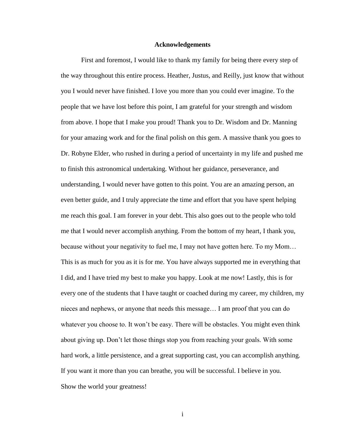#### **Acknowledgements**

<span id="page-4-0"></span>First and foremost, I would like to thank my family for being there every step of the way throughout this entire process. Heather, Justus, and Reilly, just know that without you I would never have finished. I love you more than you could ever imagine. To the people that we have lost before this point, I am grateful for your strength and wisdom from above. I hope that I make you proud! Thank you to Dr. Wisdom and Dr. Manning for your amazing work and for the final polish on this gem. A massive thank you goes to Dr. Robyne Elder, who rushed in during a period of uncertainty in my life and pushed me to finish this astronomical undertaking. Without her guidance, perseverance, and understanding, I would never have gotten to this point. You are an amazing person, an even better guide, and I truly appreciate the time and effort that you have spent helping me reach this goal. I am forever in your debt. This also goes out to the people who told me that I would never accomplish anything. From the bottom of my heart, I thank you, because without your negativity to fuel me, I may not have gotten here. To my Mom… This is as much for you as it is for me. You have always supported me in everything that I did, and I have tried my best to make you happy. Look at me now! Lastly, this is for every one of the students that I have taught or coached during my career, my children, my nieces and nephews, or anyone that needs this message… I am proof that you can do whatever you choose to. It won't be easy. There will be obstacles. You might even think about giving up. Don't let those things stop you from reaching your goals. With some hard work, a little persistence, and a great supporting cast, you can accomplish anything. If you want it more than you can breathe, you will be successful. I believe in you. Show the world your greatness!

i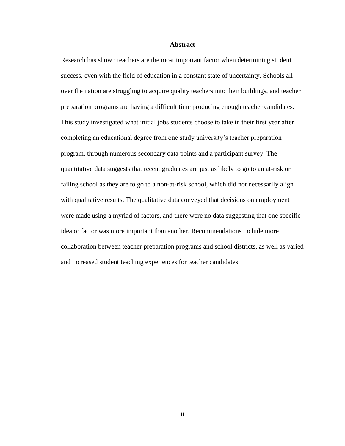#### **Abstract**

<span id="page-5-0"></span>Research has shown teachers are the most important factor when determining student success, even with the field of education in a constant state of uncertainty. Schools all over the nation are struggling to acquire quality teachers into their buildings, and teacher preparation programs are having a difficult time producing enough teacher candidates. This study investigated what initial jobs students choose to take in their first year after completing an educational degree from one study university's teacher preparation program, through numerous secondary data points and a participant survey. The quantitative data suggests that recent graduates are just as likely to go to an at-risk or failing school as they are to go to a non-at-risk school, which did not necessarily align with qualitative results. The qualitative data conveyed that decisions on employment were made using a myriad of factors, and there were no data suggesting that one specific idea or factor was more important than another. Recommendations include more collaboration between teacher preparation programs and school districts, as well as varied and increased student teaching experiences for teacher candidates.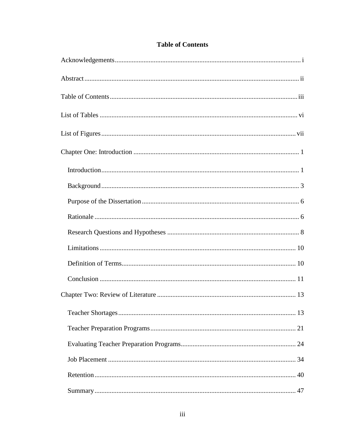<span id="page-6-0"></span>

## **Table of Contents**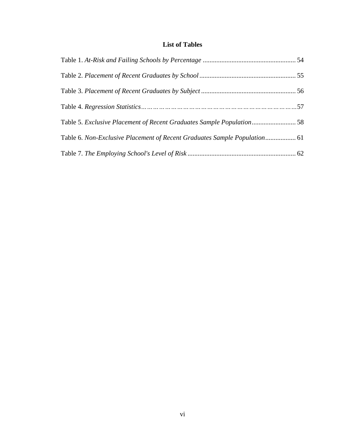## **List of Tables**

<span id="page-9-0"></span>

| Table 5. Exclusive Placement of Recent Graduates Sample Population58      |  |
|---------------------------------------------------------------------------|--|
| Table 6. Non-Exclusive Placement of Recent Graduates Sample Population 61 |  |
|                                                                           |  |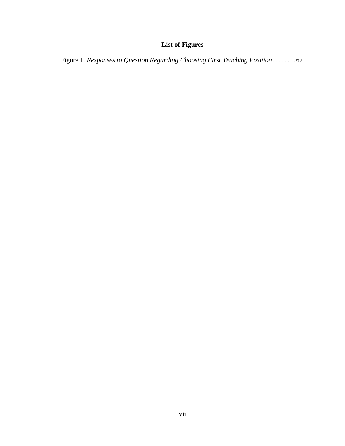## **List of Figures**

<span id="page-10-0"></span>Figure 1. *Responses to Question Regarding Choosing First Teaching Position…………*67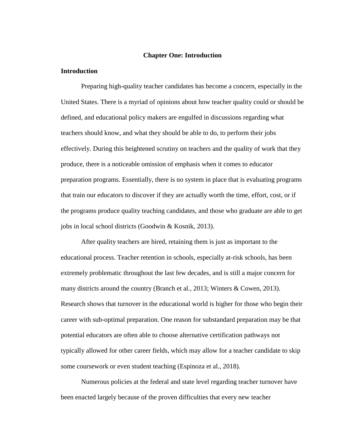#### **Chapter One: Introduction**

#### <span id="page-11-1"></span><span id="page-11-0"></span>**Introduction**

Preparing high-quality teacher candidates has become a concern, especially in the United States. There is a myriad of opinions about how teacher quality could or should be defined, and educational policy makers are engulfed in discussions regarding what teachers should know, and what they should be able to do, to perform their jobs effectively. During this heightened scrutiny on teachers and the quality of work that they produce, there is a noticeable omission of emphasis when it comes to educator preparation programs. Essentially, there is no system in place that is evaluating programs that train our educators to discover if they are actually worth the time, effort, cost, or if the programs produce quality teaching candidates, and those who graduate are able to get jobs in local school districts (Goodwin & Kosnik, 2013).

After quality teachers are hired, retaining them is just as important to the educational process. Teacher retention in schools, especially at-risk schools, has been extremely problematic throughout the last few decades, and is still a major concern for many districts around the country (Branch et al., 2013; Winters & Cowen, 2013). Research shows that turnover in the educational world is higher for those who begin their career with sub-optimal preparation. One reason for substandard preparation may be that potential educators are often able to choose alternative certification pathways not typically allowed for other career fields, which may allow for a teacher candidate to skip some coursework or even student teaching (Espinoza et al., 2018).

Numerous policies at the federal and state level regarding teacher turnover have been enacted largely because of the proven difficulties that every new teacher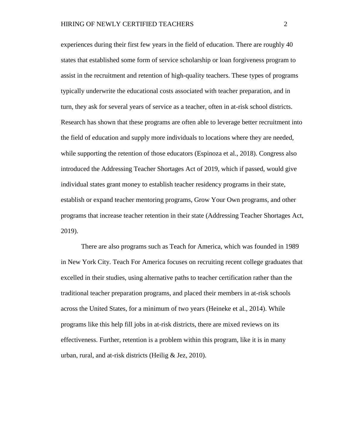experiences during their first few years in the field of education. There are roughly 40 states that established some form of service scholarship or loan forgiveness program to assist in the recruitment and retention of high-quality teachers. These types of programs typically underwrite the educational costs associated with teacher preparation, and in turn, they ask for several years of service as a teacher, often in at-risk school districts. Research has shown that these programs are often able to leverage better recruitment into the field of education and supply more individuals to locations where they are needed, while supporting the retention of those educators (Espinoza et al., 2018). Congress also introduced the Addressing Teacher Shortages Act of 2019, which if passed, would give individual states grant money to establish teacher residency programs in their state, establish or expand teacher mentoring programs, Grow Your Own programs, and other programs that increase teacher retention in their state (Addressing Teacher Shortages Act, 2019).

There are also programs such as Teach for America, which was founded in 1989 in New York City. Teach For America focuses on recruiting recent college graduates that excelled in their studies, using alternative paths to teacher certification rather than the traditional teacher preparation programs, and placed their members in at-risk schools across the United States, for a minimum of two years (Heineke et al., 2014). While programs like this help fill jobs in at-risk districts, there are mixed reviews on its effectiveness. Further, retention is a problem within this program, like it is in many urban, rural, and at-risk districts (Heilig & Jez, 2010).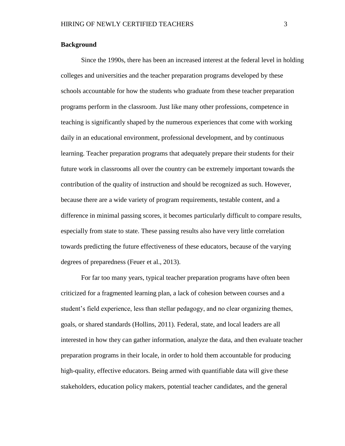#### <span id="page-13-0"></span>**Background**

Since the 1990s, there has been an increased interest at the federal level in holding colleges and universities and the teacher preparation programs developed by these schools accountable for how the students who graduate from these teacher preparation programs perform in the classroom. Just like many other professions, competence in teaching is significantly shaped by the numerous experiences that come with working daily in an educational environment, professional development, and by continuous learning. Teacher preparation programs that adequately prepare their students for their future work in classrooms all over the country can be extremely important towards the contribution of the quality of instruction and should be recognized as such. However, because there are a wide variety of program requirements, testable content, and a difference in minimal passing scores, it becomes particularly difficult to compare results, especially from state to state. These passing results also have very little correlation towards predicting the future effectiveness of these educators, because of the varying degrees of preparedness (Feuer et al., 2013).

For far too many years, typical teacher preparation programs have often been criticized for a fragmented learning plan, a lack of cohesion between courses and a student's field experience, less than stellar pedagogy, and no clear organizing themes, goals, or shared standards (Hollins, 2011). Federal, state, and local leaders are all interested in how they can gather information, analyze the data, and then evaluate teacher preparation programs in their locale, in order to hold them accountable for producing high-quality, effective educators. Being armed with quantifiable data will give these stakeholders, education policy makers, potential teacher candidates, and the general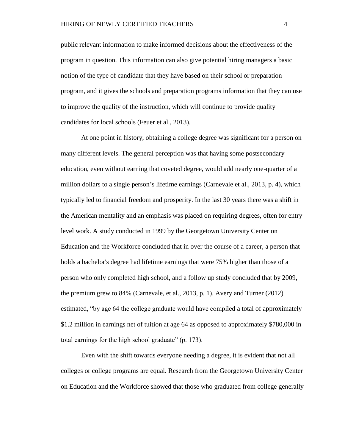public relevant information to make informed decisions about the effectiveness of the program in question. This information can also give potential hiring managers a basic notion of the type of candidate that they have based on their school or preparation program, and it gives the schools and preparation programs information that they can use to improve the quality of the instruction, which will continue to provide quality candidates for local schools (Feuer et al., 2013).

At one point in history, obtaining a college degree was significant for a person on many different levels. The general perception was that having some postsecondary education, even without earning that coveted degree, would add nearly one-quarter of a million dollars to a single person's lifetime earnings (Carnevale et al., 2013, p. 4), which typically led to financial freedom and prosperity. In the last 30 years there was a shift in the American mentality and an emphasis was placed on requiring degrees, often for entry level work. A study conducted in 1999 by the Georgetown University Center on Education and the Workforce concluded that in over the course of a career, a person that holds a bachelor's degree had lifetime earnings that were 75% higher than those of a person who only completed high school, and a follow up study concluded that by 2009, the premium grew to 84% (Carnevale, et al., 2013, p. 1). Avery and Turner (2012) estimated, "by age 64 the college graduate would have compiled a total of approximately \$1.2 million in earnings net of tuition at age 64 as opposed to approximately \$780,000 in total earnings for the high school graduate" (p. 173).

Even with the shift towards everyone needing a degree, it is evident that not all colleges or college programs are equal. Research from the Georgetown University Center on Education and the Workforce showed that those who graduated from college generally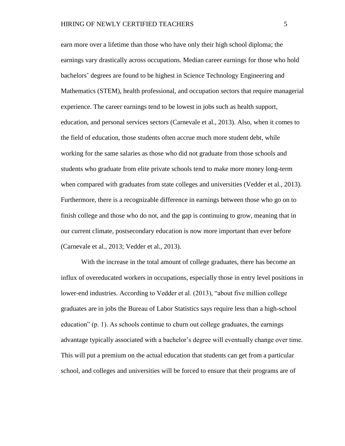earn more over a lifetime than those who have only their high school diploma; the earnings vary drastically across occupations. Median career earnings for those who hold bachelors' degrees are found to be highest in Science Technology Engineering and Mathematics (STEM), health professional, and occupation sectors that require managerial experience. The career earnings tend to be lowest in jobs such as health support, education, and personal services sectors (Carnevale et al., 2013). Also, when it comes to the field of education, those students often accrue much more student debt, while working for the same salaries as those who did not graduate from those schools and students who graduate from elite private schools tend to make more money long-term when compared with graduates from state colleges and universities (Vedder et al., 2013). Furthermore, there is a recognizable difference in earnings between those who go on to finish college and those who do not, and the gap is continuing to grow, meaning that in our current climate, postsecondary education is now more important than ever before (Carnevale et al., 2013; Vedder et al., 2013).

With the increase in the total amount of college graduates, there has become an influx of overeducated workers in occupations, especially those in entry level positions in lower-end industries. According to Vedder et al. (2013), "about five million college graduates are in jobs the Bureau of Labor Statistics says require less than a high-school education" (p. 1). As schools continue to churn out college graduates, the earnings advantage typically associated with a bachelor's degree will eventually change over time. This will put a premium on the actual education that students can get from a particular school, and colleges and universities will be forced to ensure that their programs are of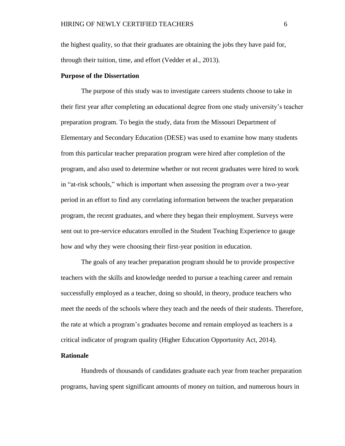the highest quality, so that their graduates are obtaining the jobs they have paid for, through their tuition, time, and effort (Vedder et al., 2013).

#### <span id="page-16-0"></span>**Purpose of the Dissertation**

The purpose of this study was to investigate careers students choose to take in their first year after completing an educational degree from one study university's teacher preparation program. To begin the study, data from the Missouri Department of Elementary and Secondary Education (DESE) was used to examine how many students from this particular teacher preparation program were hired after completion of the program, and also used to determine whether or not recent graduates were hired to work in "at-risk schools," which is important when assessing the program over a two-year period in an effort to find any correlating information between the teacher preparation program, the recent graduates, and where they began their employment. Surveys were sent out to pre-service educators enrolled in the Student Teaching Experience to gauge how and why they were choosing their first-year position in education.

The goals of any teacher preparation program should be to provide prospective teachers with the skills and knowledge needed to pursue a teaching career and remain successfully employed as a teacher, doing so should, in theory, produce teachers who meet the needs of the schools where they teach and the needs of their students. Therefore, the rate at which a program's graduates become and remain employed as teachers is a critical indicator of program quality (Higher Education Opportunity Act, 2014).

#### <span id="page-16-1"></span>**Rationale**

Hundreds of thousands of candidates graduate each year from teacher preparation programs, having spent significant amounts of money on tuition, and numerous hours in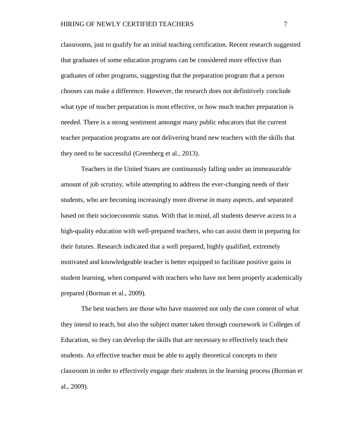classrooms, just to qualify for an initial teaching certification. Recent research suggested that graduates of some education programs can be considered more effective than graduates of other programs, suggesting that the preparation program that a person chooses can make a difference. However, the research does not definitively conclude what type of teacher preparation is most effective, or how much teacher preparation is needed. There is a strong sentiment amongst many public educators that the current teacher preparation programs are not delivering brand new teachers with the skills that they need to be successful (Greenberg et al., 2013).

Teachers in the United States are continuously falling under an immeasurable amount of job scrutiny, while attempting to address the ever-changing needs of their students, who are becoming increasingly more diverse in many aspects, and separated based on their socioeconomic status. With that in mind, all students deserve access to a high-quality education with well-prepared teachers, who can assist them in preparing for their futures. Research indicated that a well prepared, highly qualified, extremely motivated and knowledgeable teacher is better equipped to facilitate positive gains in student learning, when compared with teachers who have not been properly academically prepared (Borman et al., 2009).

The best teachers are those who have mastered not only the core content of what they intend to teach, but also the subject matter taken through coursework in Colleges of Education, so they can develop the skills that are necessary to effectively teach their students. An effective teacher must be able to apply theoretical concepts to their classroom in order to effectively engage their students in the learning process (Borman et al., 2009).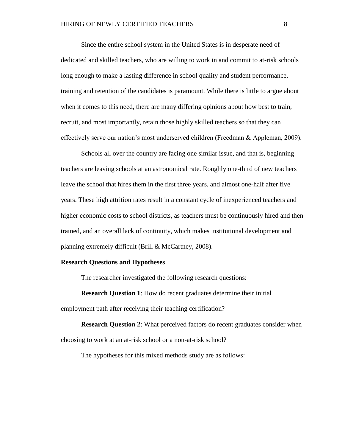Since the entire school system in the United States is in desperate need of dedicated and skilled teachers, who are willing to work in and commit to at-risk schools long enough to make a lasting difference in school quality and student performance, training and retention of the candidates is paramount. While there is little to argue about when it comes to this need, there are many differing opinions about how best to train, recruit, and most importantly, retain those highly skilled teachers so that they can effectively serve our nation's most underserved children (Freedman & Appleman, 2009).

Schools all over the country are facing one similar issue, and that is, beginning teachers are leaving schools at an astronomical rate. Roughly one-third of new teachers leave the school that hires them in the first three years, and almost one-half after five years. These high attrition rates result in a constant cycle of inexperienced teachers and higher economic costs to school districts, as teachers must be continuously hired and then trained, and an overall lack of continuity, which makes institutional development and planning extremely difficult (Brill & McCartney, 2008).

#### <span id="page-18-0"></span>**Research Questions and Hypotheses**

The researcher investigated the following research questions:

**Research Question 1**: How do recent graduates determine their initial employment path after receiving their teaching certification?

**Research Question 2**: What perceived factors do recent graduates consider when choosing to work at an at-risk school or a non-at-risk school?

The hypotheses for this mixed methods study are as follows: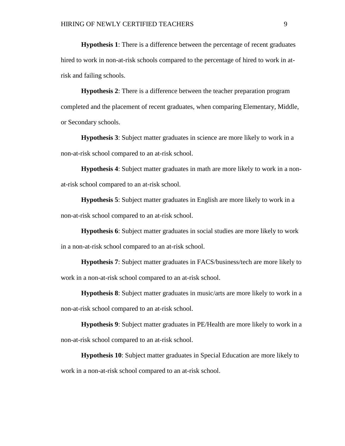**Hypothesis 1**: There is a difference between the percentage of recent graduates hired to work in non-at-risk schools compared to the percentage of hired to work in atrisk and failing schools.

**Hypothesis 2**: There is a difference between the teacher preparation program completed and the placement of recent graduates, when comparing Elementary, Middle, or Secondary schools.

**Hypothesis 3**: Subject matter graduates in science are more likely to work in a non-at-risk school compared to an at-risk school.

**Hypothesis 4**: Subject matter graduates in math are more likely to work in a nonat-risk school compared to an at-risk school.

**Hypothesis 5**: Subject matter graduates in English are more likely to work in a non-at-risk school compared to an at-risk school.

**Hypothesis 6**: Subject matter graduates in social studies are more likely to work in a non-at-risk school compared to an at-risk school.

**Hypothesis 7**: Subject matter graduates in FACS/business/tech are more likely to work in a non-at-risk school compared to an at-risk school.

**Hypothesis 8**: Subject matter graduates in music/arts are more likely to work in a non-at-risk school compared to an at-risk school.

**Hypothesis 9**: Subject matter graduates in PE/Health are more likely to work in a non-at-risk school compared to an at-risk school.

**Hypothesis 10**: Subject matter graduates in Special Education are more likely to work in a non-at-risk school compared to an at-risk school.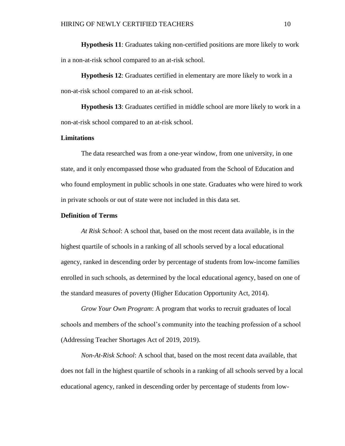**Hypothesis 11**: Graduates taking non-certified positions are more likely to work in a non-at-risk school compared to an at-risk school.

**Hypothesis 12**: Graduates certified in elementary are more likely to work in a non-at-risk school compared to an at-risk school.

**Hypothesis 13**: Graduates certified in middle school are more likely to work in a non-at-risk school compared to an at-risk school.

#### <span id="page-20-0"></span>**Limitations**

The data researched was from a one-year window, from one university, in one state, and it only encompassed those who graduated from the School of Education and who found employment in public schools in one state. Graduates who were hired to work in private schools or out of state were not included in this data set.

#### <span id="page-20-1"></span>**Definition of Terms**

*At Risk School*: A school that, based on the most recent data available, is in the highest quartile of schools in a ranking of all schools served by a local educational agency, ranked in descending order by percentage of students from low-income families enrolled in such schools, as determined by the local educational agency, based on one of the standard measures of poverty (Higher Education Opportunity Act, 2014).

*Grow Your Own Program*: A program that works to recruit graduates of local schools and members of the school's community into the teaching profession of a school (Addressing Teacher Shortages Act of 2019, 2019).

*Non-At-Risk School*: A school that, based on the most recent data available, that does not fall in the highest quartile of schools in a ranking of all schools served by a local educational agency, ranked in descending order by percentage of students from low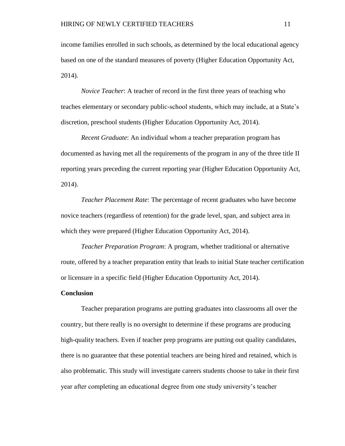income families enrolled in such schools, as determined by the local educational agency based on one of the standard measures of poverty (Higher Education Opportunity Act, 2014).

*Novice Teacher*: A teacher of record in the first three years of teaching who teaches elementary or secondary public-school students, which may include, at a State's discretion, preschool students (Higher Education Opportunity Act, 2014).

*Recent Graduate*: An individual whom a teacher preparation program has documented as having met all the requirements of the program in any of the three title II reporting years preceding the current reporting year (Higher Education Opportunity Act, 2014).

*Teacher Placement Rate*: The percentage of recent graduates who have become novice teachers (regardless of retention) for the grade level, span, and subject area in which they were prepared (Higher Education Opportunity Act, 2014).

*Teacher Preparation Program*: A program, whether traditional or alternative route, offered by a teacher preparation entity that leads to initial State teacher certification or licensure in a specific field (Higher Education Opportunity Act, 2014).

#### <span id="page-21-0"></span>**Conclusion**

Teacher preparation programs are putting graduates into classrooms all over the country, but there really is no oversight to determine if these programs are producing high-quality teachers. Even if teacher prep programs are putting out quality candidates, there is no guarantee that these potential teachers are being hired and retained, which is also problematic. This study will investigate careers students choose to take in their first year after completing an educational degree from one study university's teacher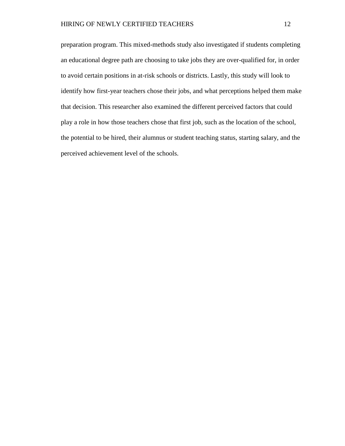preparation program. This mixed-methods study also investigated if students completing an educational degree path are choosing to take jobs they are over-qualified for, in order to avoid certain positions in at-risk schools or districts. Lastly, this study will look to identify how first-year teachers chose their jobs, and what perceptions helped them make that decision. This researcher also examined the different perceived factors that could play a role in how those teachers chose that first job, such as the location of the school, the potential to be hired, their alumnus or student teaching status, starting salary, and the perceived achievement level of the schools.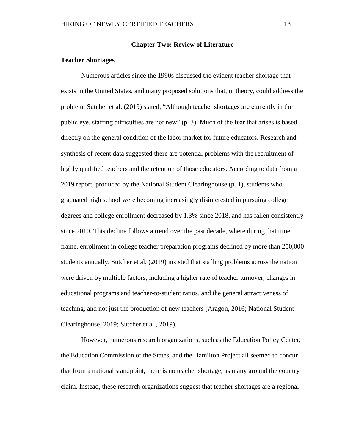#### **Chapter Two: Review of Literature**

#### <span id="page-23-1"></span><span id="page-23-0"></span>**Teacher Shortages**

Numerous articles since the 1990s discussed the evident teacher shortage that exists in the United States, and many proposed solutions that, in theory, could address the problem. Sutcher et al. (2019) stated, "Although teacher shortages are currently in the public eye, staffing difficulties are not new" (p. 3). Much of the fear that arises is based directly on the general condition of the labor market for future educators. Research and synthesis of recent data suggested there are potential problems with the recruitment of highly qualified teachers and the retention of those educators. According to data from a 2019 report, produced by the National Student Clearinghouse (p. 1), students who graduated high school were becoming increasingly disinterested in pursuing college degrees and college enrollment decreased by 1.3% since 2018, and has fallen consistently since 2010. This decline follows a trend over the past decade, where during that time frame, enrollment in college teacher preparation programs declined by more than 250,000 students annually. Sutcher et al. (2019) insisted that staffing problems across the nation were driven by multiple factors, including a higher rate of teacher turnover, changes in educational programs and teacher-to-student ratios, and the general attractiveness of teaching, and not just the production of new teachers (Aragon, 2016; National Student Clearinghouse, 2019; Sutcher et al., 2019).

However, numerous research organizations, such as the Education Policy Center, the Education Commission of the States, and the Hamilton Project all seemed to concur that from a national standpoint, there is no teacher shortage, as many around the country claim. Instead, these research organizations suggest that teacher shortages are a regional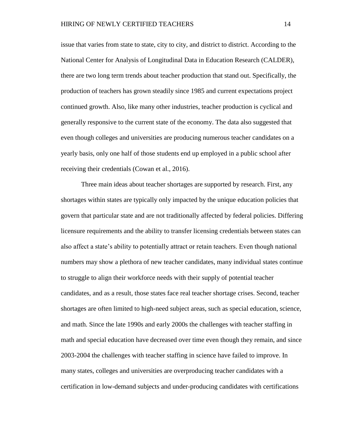issue that varies from state to state, city to city, and district to district. According to the National Center for Analysis of Longitudinal Data in Education Research (CALDER), there are two long term trends about teacher production that stand out. Specifically, the production of teachers has grown steadily since 1985 and current expectations project continued growth. Also, like many other industries, teacher production is cyclical and generally responsive to the current state of the economy. The data also suggested that even though colleges and universities are producing numerous teacher candidates on a yearly basis, only one half of those students end up employed in a public school after receiving their credentials (Cowan et al., 2016).

Three main ideas about teacher shortages are supported by research. First, any shortages within states are typically only impacted by the unique education policies that govern that particular state and are not traditionally affected by federal policies. Differing licensure requirements and the ability to transfer licensing credentials between states can also affect a state's ability to potentially attract or retain teachers. Even though national numbers may show a plethora of new teacher candidates, many individual states continue to struggle to align their workforce needs with their supply of potential teacher candidates, and as a result, those states face real teacher shortage crises. Second, teacher shortages are often limited to high-need subject areas, such as special education, science, and math. Since the late 1990s and early 2000s the challenges with teacher staffing in math and special education have decreased over time even though they remain, and since 2003-2004 the challenges with teacher staffing in science have failed to improve. In many states, colleges and universities are overproducing teacher candidates with a certification in low-demand subjects and under-producing candidates with certifications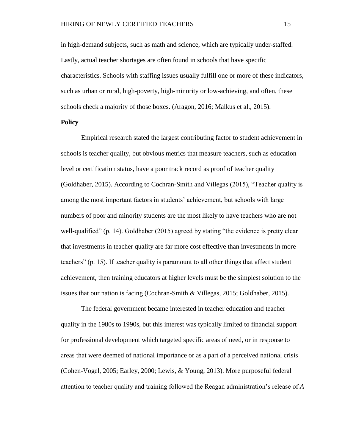in high-demand subjects, such as math and science, which are typically under-staffed. Lastly, actual teacher shortages are often found in schools that have specific characteristics. Schools with staffing issues usually fulfill one or more of these indicators, such as urban or rural, high-poverty, high-minority or low-achieving, and often, these schools check a majority of those boxes. (Aragon, 2016; Malkus et al., 2015).

#### **Policy**

Empirical research stated the largest contributing factor to student achievement in schools is teacher quality, but obvious metrics that measure teachers, such as education level or certification status, have a poor track record as proof of teacher quality (Goldhaber, 2015). According to Cochran-Smith and Villegas (2015), "Teacher quality is among the most important factors in students' achievement, but schools with large numbers of poor and minority students are the most likely to have teachers who are not well-qualified" (p. 14). Goldhaber (2015) agreed by stating "the evidence is pretty clear that investments in teacher quality are far more cost effective than investments in more teachers" (p. 15). If teacher quality is paramount to all other things that affect student achievement, then training educators at higher levels must be the simplest solution to the issues that our nation is facing (Cochran-Smith & Villegas, 2015; Goldhaber, 2015).

The federal government became interested in teacher education and teacher quality in the 1980s to 1990s, but this interest was typically limited to financial support for professional development which targeted specific areas of need, or in response to areas that were deemed of national importance or as a part of a perceived national crisis (Cohen-Vogel, 2005; Earley, 2000; Lewis, & Young, 2013). More purposeful federal attention to teacher quality and training followed the Reagan administration's release of *A*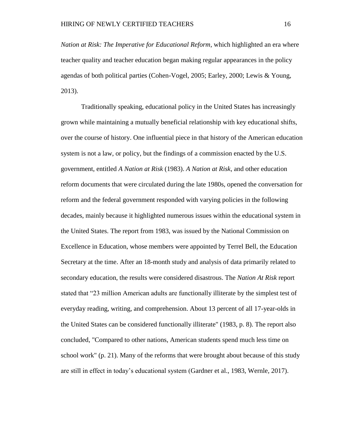*Nation at Risk: The Imperative for Educational Reform*, which highlighted an era where teacher quality and teacher education began making regular appearances in the policy agendas of both political parties (Cohen-Vogel, 2005; Earley, 2000; Lewis & Young, 2013).

Traditionally speaking, educational policy in the United States has increasingly grown while maintaining a mutually beneficial relationship with key educational shifts, over the course of history. One influential piece in that history of the American education system is not a law, or policy, but the findings of a commission enacted by the U.S. government, entitled *A Nation at Risk* (1983). *A Nation at Risk*, and other education reform documents that were circulated during the late 1980s, opened the conversation for reform and the federal government responded with varying policies in the following decades, mainly because it highlighted numerous issues within the educational system in the United States. The report from 1983, was issued by the National Commission on Excellence in Education, whose members were appointed by Terrel Bell, the Education Secretary at the time. After an 18-month study and analysis of data primarily related to secondary education, the results were considered disastrous. The *Nation At Risk* report stated that "23 million American adults are functionally illiterate by the simplest test of everyday reading, writing, and comprehension. About 13 percent of all 17-year-olds in the United States can be considered functionally illiterate" (1983, p. 8). The report also concluded, "Compared to other nations, American students spend much less time on school work" (p. 21). Many of the reforms that were brought about because of this study are still in effect in today's educational system (Gardner et al., 1983, Wernle, 2017).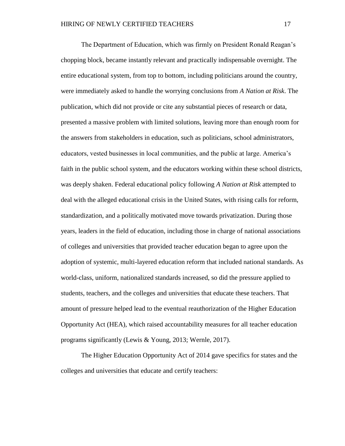The Department of Education, which was firmly on President Ronald Reagan's chopping block, became instantly relevant and practically indispensable overnight. The entire educational system, from top to bottom, including politicians around the country, were immediately asked to handle the worrying conclusions from *A Nation at Risk*. The publication, which did not provide or cite any substantial pieces of research or data, presented a massive problem with limited solutions, leaving more than enough room for the answers from stakeholders in education, such as politicians, school administrators, educators, vested businesses in local communities, and the public at large. America's faith in the public school system, and the educators working within these school districts, was deeply shaken. Federal educational policy following *A Nation at Risk* attempted to deal with the alleged educational crisis in the United States, with rising calls for reform, standardization, and a politically motivated move towards privatization. During those years, leaders in the field of education, including those in charge of national associations of colleges and universities that provided teacher education began to agree upon the adoption of systemic, multi-layered education reform that included national standards. As world-class, uniform, nationalized standards increased, so did the pressure applied to students, teachers, and the colleges and universities that educate these teachers. That amount of pressure helped lead to the eventual reauthorization of the Higher Education Opportunity Act (HEA), which raised accountability measures for all teacher education programs significantly (Lewis & Young, 2013; Wernle, 2017).

The Higher Education Opportunity Act of 2014 gave specifics for states and the colleges and universities that educate and certify teachers: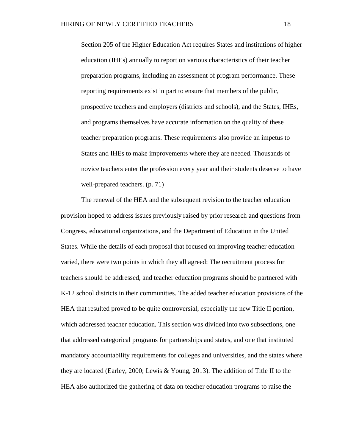Section 205 of the Higher Education Act requires States and institutions of higher education (IHEs) annually to report on various characteristics of their teacher preparation programs, including an assessment of program performance. These reporting requirements exist in part to ensure that members of the public, prospective teachers and employers (districts and schools), and the States, IHEs, and programs themselves have accurate information on the quality of these teacher preparation programs. These requirements also provide an impetus to States and IHEs to make improvements where they are needed. Thousands of novice teachers enter the profession every year and their students deserve to have well-prepared teachers. (p. 71)

The renewal of the HEA and the subsequent revision to the teacher education provision hoped to address issues previously raised by prior research and questions from Congress, educational organizations, and the Department of Education in the United States. While the details of each proposal that focused on improving teacher education varied, there were two points in which they all agreed: The recruitment process for teachers should be addressed, and teacher education programs should be partnered with K-12 school districts in their communities. The added teacher education provisions of the HEA that resulted proved to be quite controversial, especially the new Title II portion, which addressed teacher education. This section was divided into two subsections, one that addressed categorical programs for partnerships and states, and one that instituted mandatory accountability requirements for colleges and universities, and the states where they are located (Earley, 2000; Lewis & Young, 2013). The addition of Title II to the HEA also authorized the gathering of data on teacher education programs to raise the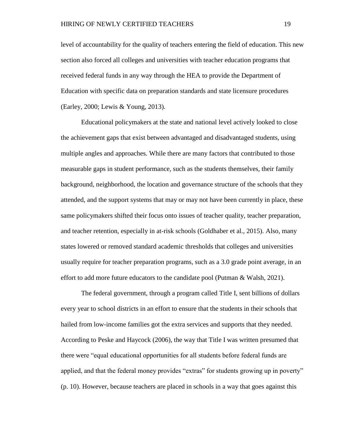level of accountability for the quality of teachers entering the field of education. This new section also forced all colleges and universities with teacher education programs that received federal funds in any way through the HEA to provide the Department of Education with specific data on preparation standards and state licensure procedures (Earley, 2000; Lewis & Young, 2013).

Educational policymakers at the state and national level actively looked to close the achievement gaps that exist between advantaged and disadvantaged students, using multiple angles and approaches. While there are many factors that contributed to those measurable gaps in student performance, such as the students themselves, their family background, neighborhood, the location and governance structure of the schools that they attended, and the support systems that may or may not have been currently in place, these same policymakers shifted their focus onto issues of teacher quality, teacher preparation, and teacher retention, especially in at-risk schools (Goldhaber et al., 2015). Also, many states lowered or removed standard academic thresholds that colleges and universities usually require for teacher preparation programs, such as a 3.0 grade point average, in an effort to add more future educators to the candidate pool (Putman & Walsh, 2021).

The federal government, through a program called Title I, sent billions of dollars every year to school districts in an effort to ensure that the students in their schools that hailed from low-income families got the extra services and supports that they needed. According to Peske and Haycock (2006), the way that Title I was written presumed that there were "equal educational opportunities for all students before federal funds are applied, and that the federal money provides "extras" for students growing up in poverty" (p. 10). However, because teachers are placed in schools in a way that goes against this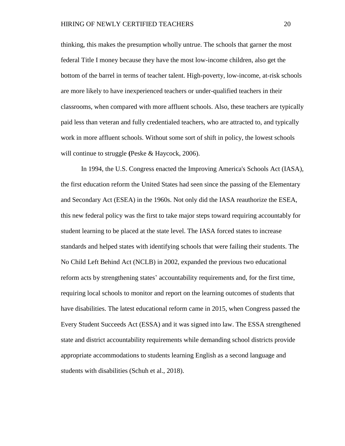thinking, this makes the presumption wholly untrue. The schools that garner the most federal Title I money because they have the most low-income children, also get the bottom of the barrel in terms of teacher talent. High-poverty, low-income, at-risk schools are more likely to have inexperienced teachers or under-qualified teachers in their classrooms, when compared with more affluent schools. Also, these teachers are typically paid less than veteran and fully credentialed teachers, who are attracted to, and typically work in more affluent schools. Without some sort of shift in policy, the lowest schools will continue to struggle **(**Peske & Haycock, 2006).

In 1994, the U.S. Congress enacted the Improving America's Schools Act (IASA), the first education reform the United States had seen since the passing of the Elementary and Secondary Act (ESEA) in the 1960s. Not only did the IASA reauthorize the ESEA, this new federal policy was the first to take major steps toward requiring accountably for student learning to be placed at the state level. The IASA forced states to increase standards and helped states with identifying schools that were failing their students. The No Child Left Behind Act (NCLB) in 2002, expanded the previous two educational reform acts by strengthening states' accountability requirements and, for the first time, requiring local schools to monitor and report on the learning outcomes of students that have disabilities. The latest educational reform came in 2015, when Congress passed the Every Student Succeeds Act (ESSA) and it was signed into law. The ESSA strengthened state and district accountability requirements while demanding school districts provide appropriate accommodations to students learning English as a second language and students with disabilities (Schuh et al., 2018).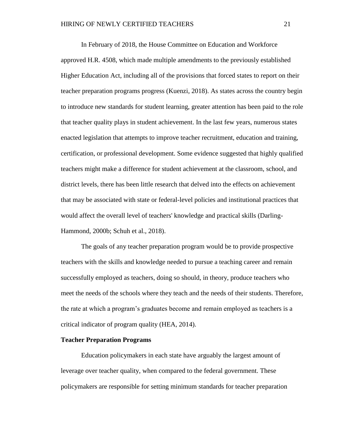In February of 2018, the House Committee on Education and Workforce approved H.R. 4508, which made multiple amendments to the previously established Higher Education Act, including all of the provisions that forced states to report on their teacher preparation programs progress (Kuenzi, 2018). As states across the country begin to introduce new standards for student learning, greater attention has been paid to the role that teacher quality plays in student achievement. In the last few years, numerous states enacted legislation that attempts to improve teacher recruitment, education and training, certification, or professional development. Some evidence suggested that highly qualified teachers might make a difference for student achievement at the classroom, school, and district levels, there has been little research that delved into the effects on achievement that may be associated with state or federal-level policies and institutional practices that would affect the overall level of teachers' knowledge and practical skills (Darling-Hammond, 2000b; Schuh et al., 2018).

The goals of any teacher preparation program would be to provide prospective teachers with the skills and knowledge needed to pursue a teaching career and remain successfully employed as teachers, doing so should, in theory, produce teachers who meet the needs of the schools where they teach and the needs of their students. Therefore, the rate at which a program's graduates become and remain employed as teachers is a critical indicator of program quality (HEA, 2014).

#### <span id="page-31-0"></span>**Teacher Preparation Programs**

Education policymakers in each state have arguably the largest amount of leverage over teacher quality, when compared to the federal government. These policymakers are responsible for setting minimum standards for teacher preparation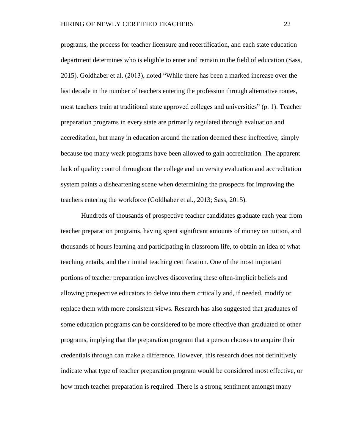programs, the process for teacher licensure and recertification, and each state education department determines who is eligible to enter and remain in the field of education (Sass, 2015). Goldhaber et al. (2013), noted "While there has been a marked increase over the last decade in the number of teachers entering the profession through alternative routes, most teachers train at traditional state approved colleges and universities" (p. 1). Teacher preparation programs in every state are primarily regulated through evaluation and accreditation, but many in education around the nation deemed these ineffective, simply because too many weak programs have been allowed to gain accreditation. The apparent lack of quality control throughout the college and university evaluation and accreditation system paints a disheartening scene when determining the prospects for improving the teachers entering the workforce (Goldhaber et al., 2013; Sass, 2015).

Hundreds of thousands of prospective teacher candidates graduate each year from teacher preparation programs, having spent significant amounts of money on tuition, and thousands of hours learning and participating in classroom life, to obtain an idea of what teaching entails, and their initial teaching certification. One of the most important portions of teacher preparation involves discovering these often-implicit beliefs and allowing prospective educators to delve into them critically and, if needed, modify or replace them with more consistent views. Research has also suggested that graduates of some education programs can be considered to be more effective than graduated of other programs, implying that the preparation program that a person chooses to acquire their credentials through can make a difference. However, this research does not definitively indicate what type of teacher preparation program would be considered most effective, or how much teacher preparation is required. There is a strong sentiment amongst many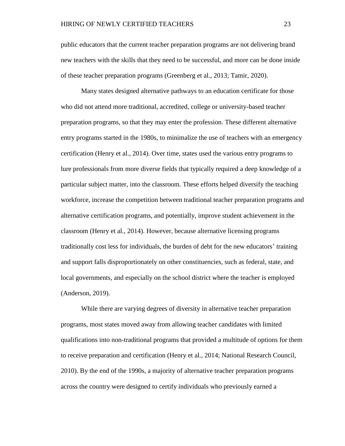public educators that the current teacher preparation programs are not delivering brand new teachers with the skills that they need to be successful, and more can be done inside of these teacher preparation programs (Greenberg et al., 2013; Tamir, 2020).

Many states designed alternative pathways to an education certificate for those who did not attend more traditional, accredited, college or university-based teacher preparation programs, so that they may enter the profession. These different alternative entry programs started in the 1980s, to minimalize the use of teachers with an emergency certification (Henry et al., 2014). Over time, states used the various entry programs to lure professionals from more diverse fields that typically required a deep knowledge of a particular subject matter, into the classroom. These efforts helped diversify the teaching workforce, increase the competition between traditional teacher preparation programs and alternative certification programs, and potentially, improve student achievement in the classroom (Henry et al., 2014). However, because alternative licensing programs traditionally cost less for individuals, the burden of debt for the new educators' training and support falls disproportionately on other constituencies, such as federal, state, and local governments, and especially on the school district where the teacher is employed (Anderson, 2019).

While there are varying degrees of diversity in alternative teacher preparation programs, most states moved away from allowing teacher candidates with limited qualifications into non-traditional programs that provided a multitude of options for them to receive preparation and certification (Henry et al., 2014; National Research Council, 2010). By the end of the 1990s, a majority of alternative teacher preparation programs across the country were designed to certify individuals who previously earned a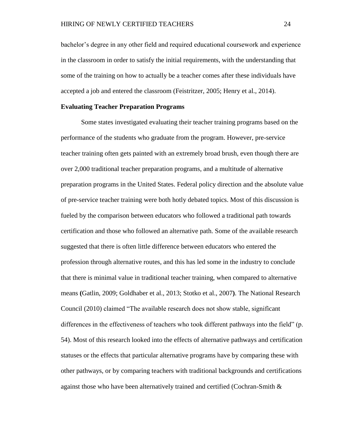bachelor's degree in any other field and required educational coursework and experience in the classroom in order to satisfy the initial requirements, with the understanding that some of the training on how to actually be a teacher comes after these individuals have accepted a job and entered the classroom (Feistritzer, 2005; Henry et al., 2014).

#### <span id="page-34-0"></span>**Evaluating Teacher Preparation Programs**

Some states investigated evaluating their teacher training programs based on the performance of the students who graduate from the program. However, pre-service teacher training often gets painted with an extremely broad brush, even though there are over 2,000 traditional teacher preparation programs, and a multitude of alternative preparation programs in the United States. Federal policy direction and the absolute value of pre-service teacher training were both hotly debated topics. Most of this discussion is fueled by the comparison between educators who followed a traditional path towards certification and those who followed an alternative path. Some of the available research suggested that there is often little difference between educators who entered the profession through alternative routes, and this has led some in the industry to conclude that there is minimal value in traditional teacher training, when compared to alternative means **(**Gatlin, 2009; Goldhaber et al., 2013; Stotko et al., 2007**)**. The National Research Council (2010) claimed "The available research does not show stable, significant differences in the effectiveness of teachers who took different pathways into the field" (p. 54). Most of this research looked into the effects of alternative pathways and certification statuses or the effects that particular alternative programs have by comparing these with other pathways, or by comparing teachers with traditional backgrounds and certifications against those who have been alternatively trained and certified (Cochran-Smith &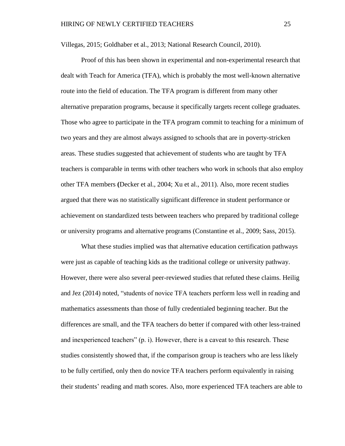Villegas, 2015; Goldhaber et al., 2013; National Research Council, 2010).

Proof of this has been shown in experimental and non-experimental research that dealt with Teach for America (TFA), which is probably the most well-known alternative route into the field of education. The TFA program is different from many other alternative preparation programs, because it specifically targets recent college graduates. Those who agree to participate in the TFA program commit to teaching for a minimum of two years and they are almost always assigned to schools that are in poverty-stricken areas. These studies suggested that achievement of students who are taught by TFA teachers is comparable in terms with other teachers who work in schools that also employ other TFA members **(**Decker et al., 2004; Xu et al., 2011). Also, more recent studies argued that there was no statistically significant difference in student performance or achievement on standardized tests between teachers who prepared by traditional college or university programs and alternative programs (Constantine et al., 2009; Sass, 2015).

What these studies implied was that alternative education certification pathways were just as capable of teaching kids as the traditional college or university pathway. However, there were also several peer-reviewed studies that refuted these claims. Heilig and Jez (2014) noted, "students of novice TFA teachers perform less well in reading and mathematics assessments than those of fully credentialed beginning teacher. But the differences are small, and the TFA teachers do better if compared with other less-trained and inexperienced teachers" (p. i). However, there is a caveat to this research. These studies consistently showed that, if the comparison group is teachers who are less likely to be fully certified, only then do novice TFA teachers perform equivalently in raising their students' reading and math scores. Also, more experienced TFA teachers are able to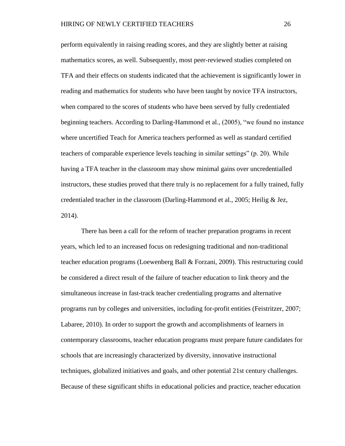perform equivalently in raising reading scores, and they are slightly better at raising mathematics scores, as well. Subsequently, most peer-reviewed studies completed on TFA and their effects on students indicated that the achievement is significantly lower in reading and mathematics for students who have been taught by novice TFA instructors, when compared to the scores of students who have been served by fully credentialed beginning teachers. According to Darling-Hammond et al., (2005), "we found no instance where uncertified Teach for America teachers performed as well as standard certified teachers of comparable experience levels teaching in similar settings" (p. 20). While having a TFA teacher in the classroom may show minimal gains over uncredentialled instructors, these studies proved that there truly is no replacement for a fully trained, fully credentialed teacher in the classroom (Darling-Hammond et al., 2005; Heilig  $&$  Jez, 2014).

There has been a call for the reform of teacher preparation programs in recent years, which led to an increased focus on redesigning traditional and non-traditional teacher education programs (Loewenberg Ball & Forzani, 2009). This restructuring could be considered a direct result of the failure of teacher education to link theory and the simultaneous increase in fast-track teacher credentialing programs and alternative programs run by colleges and universities, including for-profit entities (Feistritzer, 2007; Labaree, 2010). In order to support the growth and accomplishments of learners in contemporary classrooms, teacher education programs must prepare future candidates for schools that are increasingly characterized by diversity, innovative instructional techniques, globalized initiatives and goals, and other potential 21st century challenges. Because of these significant shifts in educational policies and practice, teacher education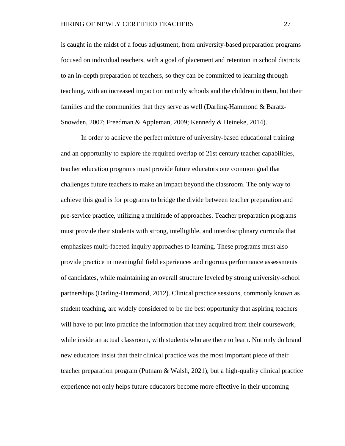is caught in the midst of a focus adjustment, from university-based preparation programs focused on individual teachers, with a goal of placement and retention in school districts to an in-depth preparation of teachers, so they can be committed to learning through teaching, with an increased impact on not only schools and the children in them, but their families and the communities that they serve as well (Darling-Hammond & Baratz-Snowden, 2007; Freedman & Appleman, 2009; Kennedy & Heineke, 2014).

In order to achieve the perfect mixture of university-based educational training and an opportunity to explore the required overlap of 21st century teacher capabilities, teacher education programs must provide future educators one common goal that challenges future teachers to make an impact beyond the classroom. The only way to achieve this goal is for programs to bridge the divide between teacher preparation and pre-service practice, utilizing a multitude of approaches. Teacher preparation programs must provide their students with strong, intelligible, and interdisciplinary curricula that emphasizes multi-faceted inquiry approaches to learning. These programs must also provide practice in meaningful field experiences and rigorous performance assessments of candidates, while maintaining an overall structure leveled by strong university-school partnerships (Darling-Hammond, 2012). Clinical practice sessions, commonly known as student teaching, are widely considered to be the best opportunity that aspiring teachers will have to put into practice the information that they acquired from their coursework, while inside an actual classroom, with students who are there to learn. Not only do brand new educators insist that their clinical practice was the most important piece of their teacher preparation program (Putnam & Walsh, 2021), but a high-quality clinical practice experience not only helps future educators become more effective in their upcoming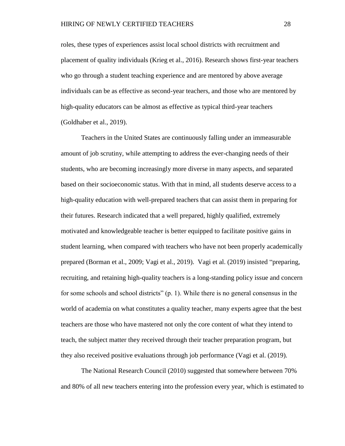roles, these types of experiences assist local school districts with recruitment and placement of quality individuals (Krieg et al., 2016). Research shows first-year teachers who go through a student teaching experience and are mentored by above average individuals can be as effective as second-year teachers, and those who are mentored by high-quality educators can be almost as effective as typical third-year teachers (Goldhaber et al., 2019).

Teachers in the United States are continuously falling under an immeasurable amount of job scrutiny, while attempting to address the ever-changing needs of their students, who are becoming increasingly more diverse in many aspects, and separated based on their socioeconomic status. With that in mind, all students deserve access to a high-quality education with well-prepared teachers that can assist them in preparing for their futures. Research indicated that a well prepared, highly qualified, extremely motivated and knowledgeable teacher is better equipped to facilitate positive gains in student learning, when compared with teachers who have not been properly academically prepared (Borman et al., 2009; Vagi et al., 2019). Vagi et al. (2019) insisted "preparing, recruiting, and retaining high-quality teachers is a long-standing policy issue and concern for some schools and school districts" (p. 1). While there is no general consensus in the world of academia on what constitutes a quality teacher, many experts agree that the best teachers are those who have mastered not only the core content of what they intend to teach, the subject matter they received through their teacher preparation program, but they also received positive evaluations through job performance (Vagi et al. (2019).

The National Research Council (2010) suggested that somewhere between 70% and 80% of all new teachers entering into the profession every year, which is estimated to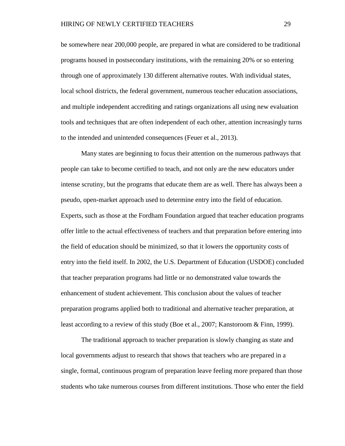be somewhere near 200,000 people, are prepared in what are considered to be traditional programs housed in postsecondary institutions, with the remaining 20% or so entering through one of approximately 130 different alternative routes. With individual states, local school districts, the federal government, numerous teacher education associations, and multiple independent accrediting and ratings organizations all using new evaluation tools and techniques that are often independent of each other, attention increasingly turns to the intended and unintended consequences (Feuer et al., 2013).

Many states are beginning to focus their attention on the numerous pathways that people can take to become certified to teach, and not only are the new educators under intense scrutiny, but the programs that educate them are as well. There has always been a pseudo, open-market approach used to determine entry into the field of education. Experts, such as those at the Fordham Foundation argued that teacher education programs offer little to the actual effectiveness of teachers and that preparation before entering into the field of education should be minimized, so that it lowers the opportunity costs of entry into the field itself. In 2002, the U.S. Department of Education (USDOE) concluded that teacher preparation programs had little or no demonstrated value towards the enhancement of student achievement. This conclusion about the values of teacher preparation programs applied both to traditional and alternative teacher preparation, at least according to a review of this study (Boe et al., 2007; Kanstoroom & Finn, 1999).

The traditional approach to teacher preparation is slowly changing as state and local governments adjust to research that shows that teachers who are prepared in a single, formal, continuous program of preparation leave feeling more prepared than those students who take numerous courses from different institutions. Those who enter the field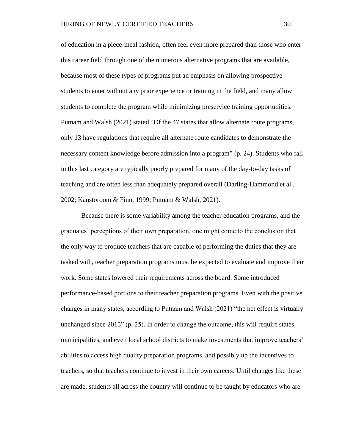of education in a piece-meal fashion, often feel even more prepared than those who enter this career field through one of the numerous alternative programs that are available, because most of these types of programs put an emphasis on allowing prospective students to enter without any prior experience or training in the field, and many allow students to complete the program while minimizing preservice training opportunities. Putnam and Walsh (2021) stated "Of the 47 states that allow alternate route programs, only 13 have regulations that require all alternate route candidates to demonstrate the necessary content knowledge before admission into a program" (p. 24). Students who fall in this last category are typically poorly prepared for many of the day-to-day tasks of teaching and are often less than adequately prepared overall (Darling-Hammond et al., 2002; Kanstoroom & Finn, 1999; Putnam & Walsh, 2021).

Because there is some variability among the teacher education programs, and the graduates' perceptions of their own preparation, one might come to the conclusion that the only way to produce teachers that are capable of performing the duties that they are tasked with, teacher preparation programs must be expected to evaluate and improve their work. Some states lowered their requirements across the board. Some introduced performance-based portions to their teacher preparation programs. Even with the positive changes in many states, according to Putnam and Walsh (2021) "the net effect is virtually unchanged since 2015" (p. 25). In order to change the outcome, this will require states, municipalities, and even local school districts to make investments that improve teachers' abilities to access high quality preparation programs, and possibly up the incentives to teachers, so that teachers continue to invest in their own careers. Until changes like these are made, students all across the country will continue to be taught by educators who are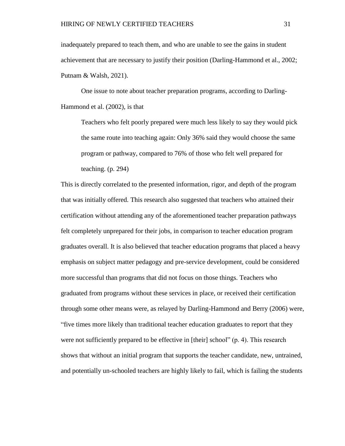inadequately prepared to teach them, and who are unable to see the gains in student achievement that are necessary to justify their position (Darling-Hammond et al., 2002; Putnam & Walsh, 2021).

One issue to note about teacher preparation programs, according to Darling-Hammond et al. (2002), is that

Teachers who felt poorly prepared were much less likely to say they would pick the same route into teaching again: Only 36% said they would choose the same program or pathway, compared to 76% of those who felt well prepared for teaching. (p. 294)

This is directly correlated to the presented information, rigor, and depth of the program that was initially offered. This research also suggested that teachers who attained their certification without attending any of the aforementioned teacher preparation pathways felt completely unprepared for their jobs, in comparison to teacher education program graduates overall. It is also believed that teacher education programs that placed a heavy emphasis on subject matter pedagogy and pre-service development, could be considered more successful than programs that did not focus on those things. Teachers who graduated from programs without these services in place, or received their certification through some other means were, as relayed by Darling-Hammond and Berry (2006) were, "five times more likely than traditional teacher education graduates to report that they were not sufficiently prepared to be effective in [their] school" (p. 4). This research shows that without an initial program that supports the teacher candidate, new, untrained, and potentially un-schooled teachers are highly likely to fail, which is failing the students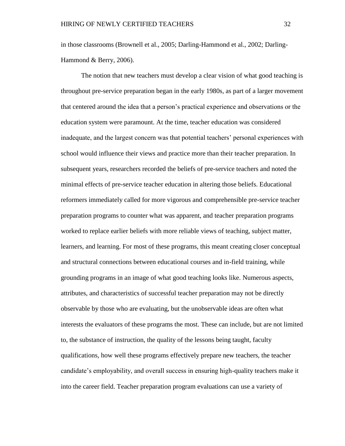in those classrooms (Brownell et al., 2005; Darling-Hammond et al., 2002; Darling-Hammond & Berry, 2006).

The notion that new teachers must develop a clear vision of what good teaching is throughout pre-service preparation began in the early 1980s, as part of a larger movement that centered around the idea that a person's practical experience and observations or the education system were paramount. At the time, teacher education was considered inadequate, and the largest concern was that potential teachers' personal experiences with school would influence their views and practice more than their teacher preparation. In subsequent years, researchers recorded the beliefs of pre-service teachers and noted the minimal effects of pre-service teacher education in altering those beliefs. Educational reformers immediately called for more vigorous and comprehensible pre-service teacher preparation programs to counter what was apparent, and teacher preparation programs worked to replace earlier beliefs with more reliable views of teaching, subject matter, learners, and learning. For most of these programs, this meant creating closer conceptual and structural connections between educational courses and in-field training, while grounding programs in an image of what good teaching looks like. Numerous aspects, attributes, and characteristics of successful teacher preparation may not be directly observable by those who are evaluating, but the unobservable ideas are often what interests the evaluators of these programs the most. These can include, but are not limited to, the substance of instruction, the quality of the lessons being taught, faculty qualifications, how well these programs effectively prepare new teachers, the teacher candidate's employability, and overall success in ensuring high-quality teachers make it into the career field. Teacher preparation program evaluations can use a variety of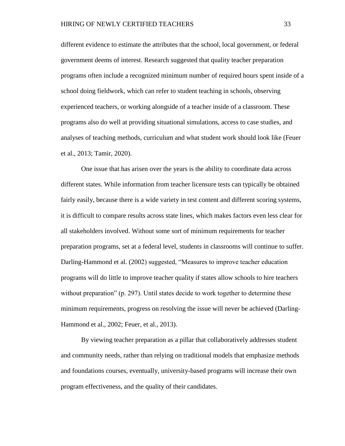different evidence to estimate the attributes that the school, local government, or federal government deems of interest. Research suggested that quality teacher preparation programs often include a recognized minimum number of required hours spent inside of a school doing fieldwork, which can refer to student teaching in schools, observing experienced teachers, or working alongside of a teacher inside of a classroom. These programs also do well at providing situational simulations, access to case studies, and analyses of teaching methods, curriculum and what student work should look like (Feuer et al., 2013; Tamir, 2020).

One issue that has arisen over the years is the ability to coordinate data across different states. While information from teacher licensure tests can typically be obtained fairly easily, because there is a wide variety in test content and different scoring systems, it is difficult to compare results across state lines, which makes factors even less clear for all stakeholders involved. Without some sort of minimum requirements for teacher preparation programs, set at a federal level, students in classrooms will continue to suffer. Darling-Hammond et al. (2002) suggested, "Measures to improve teacher education programs will do little to improve teacher quality if states allow schools to hire teachers without preparation" (p. 297). Until states decide to work together to determine these minimum requirements, progress on resolving the issue will never be achieved (Darling-Hammond et al., 2002; Feuer, et al., 2013).

By viewing teacher preparation as a pillar that collaboratively addresses student and community needs, rather than relying on traditional models that emphasize methods and foundations courses, eventually, university-based programs will increase their own program effectiveness, and the quality of their candidates.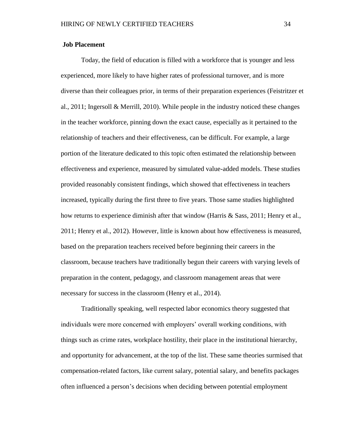### **Job Placement**

Today, the field of education is filled with a workforce that is younger and less experienced, more likely to have higher rates of professional turnover, and is more diverse than their colleagues prior, in terms of their preparation experiences (Feistritzer et al., 2011; Ingersoll & Merrill, 2010). While people in the industry noticed these changes in the teacher workforce, pinning down the exact cause, especially as it pertained to the relationship of teachers and their effectiveness, can be difficult. For example, a large portion of the literature dedicated to this topic often estimated the relationship between effectiveness and experience, measured by simulated value-added models. These studies provided reasonably consistent findings, which showed that effectiveness in teachers increased, typically during the first three to five years. Those same studies highlighted how returns to experience diminish after that window (Harris & Sass, 2011; Henry et al., 2011; Henry et al., 2012). However, little is known about how effectiveness is measured, based on the preparation teachers received before beginning their careers in the classroom, because teachers have traditionally begun their careers with varying levels of preparation in the content, pedagogy, and classroom management areas that were necessary for success in the classroom (Henry et al., 2014).

Traditionally speaking, well respected labor economics theory suggested that individuals were more concerned with employers' overall working conditions, with things such as crime rates, workplace hostility, their place in the institutional hierarchy, and opportunity for advancement, at the top of the list. These same theories surmised that compensation-related factors, like current salary, potential salary, and benefits packages often influenced a person's decisions when deciding between potential employment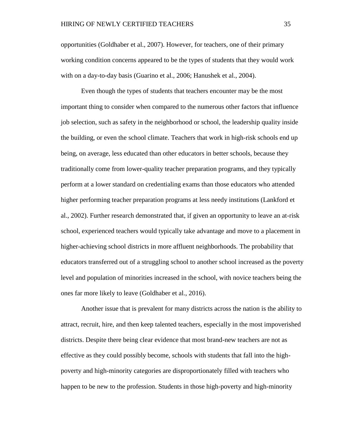opportunities (Goldhaber et al., 2007). However, for teachers, one of their primary working condition concerns appeared to be the types of students that they would work with on a day-to-day basis (Guarino et al., 2006; Hanushek et al., 2004).

Even though the types of students that teachers encounter may be the most important thing to consider when compared to the numerous other factors that influence job selection, such as safety in the neighborhood or school, the leadership quality inside the building, or even the school climate. Teachers that work in high-risk schools end up being, on average, less educated than other educators in better schools, because they traditionally come from lower-quality teacher preparation programs, and they typically perform at a lower standard on credentialing exams than those educators who attended higher performing teacher preparation programs at less needy institutions (Lankford et al., 2002). Further research demonstrated that, if given an opportunity to leave an at-risk school, experienced teachers would typically take advantage and move to a placement in higher-achieving school districts in more affluent neighborhoods. The probability that educators transferred out of a struggling school to another school increased as the poverty level and population of minorities increased in the school, with novice teachers being the ones far more likely to leave (Goldhaber et al., 2016).

Another issue that is prevalent for many districts across the nation is the ability to attract, recruit, hire, and then keep talented teachers, especially in the most impoverished districts. Despite there being clear evidence that most brand-new teachers are not as effective as they could possibly become, schools with students that fall into the highpoverty and high-minority categories are disproportionately filled with teachers who happen to be new to the profession. Students in those high-poverty and high-minority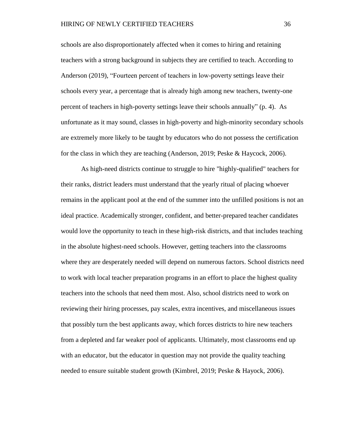schools are also disproportionately affected when it comes to hiring and retaining teachers with a strong background in subjects they are certified to teach. According to Anderson (2019), "Fourteen percent of teachers in low-poverty settings leave their schools every year, a percentage that is already high among new teachers, twenty-one percent of teachers in high-poverty settings leave their schools annually" (p. 4). As unfortunate as it may sound, classes in high-poverty and high-minority secondary schools are extremely more likely to be taught by educators who do not possess the certification for the class in which they are teaching (Anderson, 2019; Peske & Haycock, 2006).

As high-need districts continue to struggle to hire "highly-qualified" teachers for their ranks, district leaders must understand that the yearly ritual of placing whoever remains in the applicant pool at the end of the summer into the unfilled positions is not an ideal practice. Academically stronger, confident, and better-prepared teacher candidates would love the opportunity to teach in these high-risk districts, and that includes teaching in the absolute highest-need schools. However, getting teachers into the classrooms where they are desperately needed will depend on numerous factors. School districts need to work with local teacher preparation programs in an effort to place the highest quality teachers into the schools that need them most. Also, school districts need to work on reviewing their hiring processes, pay scales, extra incentives, and miscellaneous issues that possibly turn the best applicants away, which forces districts to hire new teachers from a depleted and far weaker pool of applicants. Ultimately, most classrooms end up with an educator, but the educator in question may not provide the quality teaching needed to ensure suitable student growth (Kimbrel, 2019; Peske & Hayock, 2006).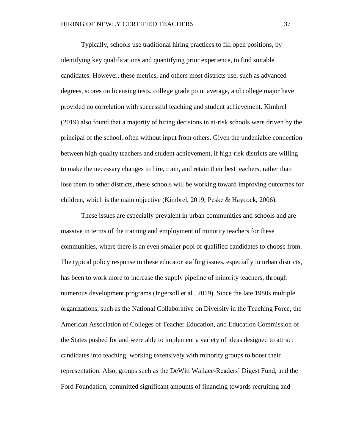Typically, schools use traditional hiring practices to fill open positions, by identifying key qualifications and quantifying prior experience, to find suitable candidates. However, these metrics, and others most districts use, such as advanced degrees, scores on licensing tests, college grade point average, and college major have provided no correlation with successful teaching and student achievement. Kimbrel (2019) also found that a majority of hiring decisions in at-risk schools were driven by the principal of the school, often without input from others. Given the undeniable connection between high-quality teachers and student achievement, if high-risk districts are willing to make the necessary changes to hire, train, and retain their best teachers, rather than lose them to other districts, these schools will be working toward improving outcomes for children, which is the main objective (Kimbrel, 2019; Peske & Haycock, 2006).

These issues are especially prevalent in urban communities and schools and are massive in terms of the training and employment of minority teachers for these communities, where there is an even smaller pool of qualified candidates to choose from. The typical policy response to these educator staffing issues, especially in urban districts, has been to work more to increase the supply pipeline of minority teachers, through numerous development programs (Ingersoll et al., 2019). Since the late 1980s multiple organizations, such as the National Collaborative on Diversity in the Teaching Force, the American Association of Colleges of Teacher Education, and Education Commission of the States pushed for and were able to implement a variety of ideas designed to attract candidates into teaching, working extensively with minority groups to boost their representation. Also, groups such as the DeWitt Wallace-Readers' Digest Fund, and the Ford Foundation, committed significant amounts of financing towards recruiting and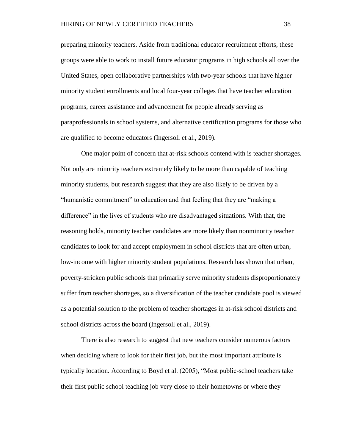preparing minority teachers. Aside from traditional educator recruitment efforts, these groups were able to work to install future educator programs in high schools all over the United States, open collaborative partnerships with two-year schools that have higher minority student enrollments and local four-year colleges that have teacher education programs, career assistance and advancement for people already serving as paraprofessionals in school systems, and alternative certification programs for those who are qualified to become educators (Ingersoll et al., 2019).

One major point of concern that at-risk schools contend with is teacher shortages. Not only are minority teachers extremely likely to be more than capable of teaching minority students, but research suggest that they are also likely to be driven by a "humanistic commitment" to education and that feeling that they are "making a difference" in the lives of students who are disadvantaged situations. With that, the reasoning holds, minority teacher candidates are more likely than nonminority teacher candidates to look for and accept employment in school districts that are often urban, low-income with higher minority student populations. Research has shown that urban, poverty-stricken public schools that primarily serve minority students disproportionately suffer from teacher shortages, so a diversification of the teacher candidate pool is viewed as a potential solution to the problem of teacher shortages in at-risk school districts and school districts across the board (Ingersoll et al., 2019).

There is also research to suggest that new teachers consider numerous factors when deciding where to look for their first job, but the most important attribute is typically location. According to Boyd et al. (2005), "Most public-school teachers take their first public school teaching job very close to their hometowns or where they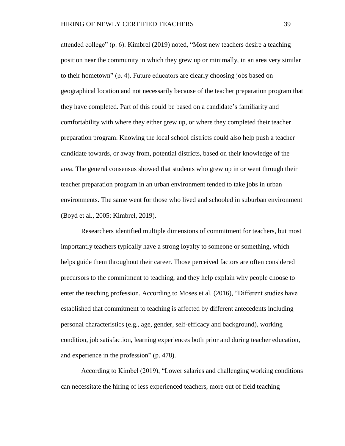attended college" (p. 6). Kimbrel (2019) noted, "Most new teachers desire a teaching position near the community in which they grew up or minimally, in an area very similar to their hometown" (p. 4). Future educators are clearly choosing jobs based on geographical location and not necessarily because of the teacher preparation program that they have completed. Part of this could be based on a candidate's familiarity and comfortability with where they either grew up, or where they completed their teacher preparation program. Knowing the local school districts could also help push a teacher candidate towards, or away from, potential districts, based on their knowledge of the area. The general consensus showed that students who grew up in or went through their teacher preparation program in an urban environment tended to take jobs in urban environments. The same went for those who lived and schooled in suburban environment (Boyd et al., 2005; Kimbrel, 2019).

Researchers identified multiple dimensions of commitment for teachers, but most importantly teachers typically have a strong loyalty to someone or something, which helps guide them throughout their career. Those perceived factors are often considered precursors to the commitment to teaching, and they help explain why people choose to enter the teaching profession. According to Moses et al. (2016), "Different studies have established that commitment to teaching is affected by different antecedents including personal characteristics (e.g., age, gender, self-efficacy and background), working condition, job satisfaction, learning experiences both prior and during teacher education, and experience in the profession" (p. 478).

According to Kimbel (2019), "Lower salaries and challenging working conditions can necessitate the hiring of less experienced teachers, more out of field teaching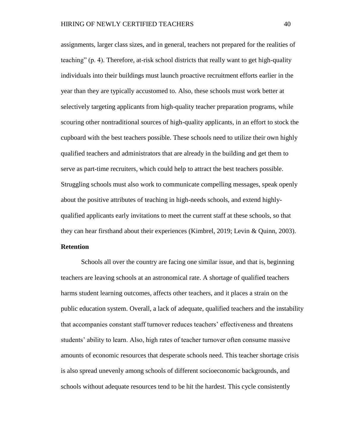assignments, larger class sizes, and in general, teachers not prepared for the realities of teaching" (p. 4). Therefore, at-risk school districts that really want to get high-quality individuals into their buildings must launch proactive recruitment efforts earlier in the year than they are typically accustomed to. Also, these schools must work better at selectively targeting applicants from high-quality teacher preparation programs, while scouring other nontraditional sources of high-quality applicants, in an effort to stock the cupboard with the best teachers possible. These schools need to utilize their own highly qualified teachers and administrators that are already in the building and get them to serve as part-time recruiters, which could help to attract the best teachers possible. Struggling schools must also work to communicate compelling messages, speak openly about the positive attributes of teaching in high-needs schools, and extend highlyqualified applicants early invitations to meet the current staff at these schools, so that they can hear firsthand about their experiences (Kimbrel, 2019; Levin & Quinn, 2003).

#### **Retention**

Schools all over the country are facing one similar issue, and that is, beginning teachers are leaving schools at an astronomical rate. A shortage of qualified teachers harms student learning outcomes, affects other teachers, and it places a strain on the public education system. Overall, a lack of adequate, qualified teachers and the instability that accompanies constant staff turnover reduces teachers' effectiveness and threatens students' ability to learn. Also, high rates of teacher turnover often consume massive amounts of economic resources that desperate schools need. This teacher shortage crisis is also spread unevenly among schools of different socioeconomic backgrounds, and schools without adequate resources tend to be hit the hardest. This cycle consistently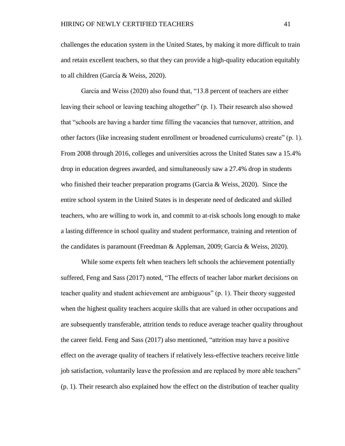challenges the education system in the United States, by making it more difficult to train and retain excellent teachers, so that they can provide a high-quality education equitably to all children (García & Weiss, 2020).

Garcia and Weiss (2020) also found that, "13.8 percent of teachers are either leaving their school or leaving teaching altogether" (p. 1). Their research also showed that "schools are having a harder time filling the vacancies that turnover, attrition, and other factors (like increasing student enrollment or broadened curriculums) create" (p. 1). From 2008 through 2016, colleges and universities across the United States saw a 15.4% drop in education degrees awarded, and simultaneously saw a 27.4% drop in students who finished their teacher preparation programs (Garcia  $\&$  Weiss, 2020). Since the entire school system in the United States is in desperate need of dedicated and skilled teachers, who are willing to work in, and commit to at-risk schools long enough to make a lasting difference in school quality and student performance, training and retention of the candidates is paramount (Freedman & Appleman, 2009; Garcia & Weiss, 2020).

While some experts felt when teachers left schools the achievement potentially suffered, Feng and Sass (2017) noted, "The effects of teacher labor market decisions on teacher quality and student achievement are ambiguous" (p. 1). Their theory suggested when the highest quality teachers acquire skills that are valued in other occupations and are subsequently transferable, attrition tends to reduce average teacher quality throughout the career field. Feng and Sass (2017) also mentioned, "attrition may have a positive effect on the average quality of teachers if relatively less-effective teachers receive little job satisfaction, voluntarily leave the profession and are replaced by more able teachers" (p. 1). Their research also explained how the effect on the distribution of teacher quality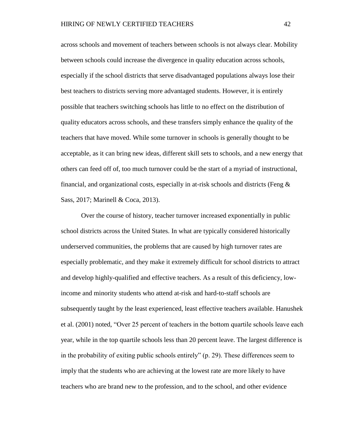across schools and movement of teachers between schools is not always clear. Mobility between schools could increase the divergence in quality education across schools, especially if the school districts that serve disadvantaged populations always lose their best teachers to districts serving more advantaged students. However, it is entirely possible that teachers switching schools has little to no effect on the distribution of quality educators across schools, and these transfers simply enhance the quality of the teachers that have moved. While some turnover in schools is generally thought to be acceptable, as it can bring new ideas, different skill sets to schools, and a new energy that others can feed off of, too much turnover could be the start of a myriad of instructional, financial, and organizational costs, especially in at-risk schools and districts (Feng  $\&$ Sass, 2017; Marinell & Coca, 2013).

Over the course of history, teacher turnover increased exponentially in public school districts across the United States. In what are typically considered historically underserved communities, the problems that are caused by high turnover rates are especially problematic, and they make it extremely difficult for school districts to attract and develop highly-qualified and effective teachers. As a result of this deficiency, lowincome and minority students who attend at-risk and hard-to-staff schools are subsequently taught by the least experienced, least effective teachers available. Hanushek et al. (2001) noted, "Over 25 percent of teachers in the bottom quartile schools leave each year, while in the top quartile schools less than 20 percent leave. The largest difference is in the probability of exiting public schools entirely" (p. 29). These differences seem to imply that the students who are achieving at the lowest rate are more likely to have teachers who are brand new to the profession, and to the school, and other evidence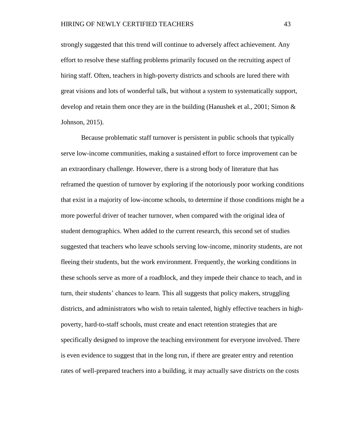strongly suggested that this trend will continue to adversely affect achievement. Any effort to resolve these staffing problems primarily focused on the recruiting aspect of hiring staff. Often, teachers in high-poverty districts and schools are lured there with great visions and lots of wonderful talk, but without a system to systematically support, develop and retain them once they are in the building (Hanushek et al., 2001; Simon  $\&$ Johnson, 2015).

Because problematic staff turnover is persistent in public schools that typically serve low-income communities, making a sustained effort to force improvement can be an extraordinary challenge. However, there is a strong body of literature that has reframed the question of turnover by exploring if the notoriously poor working conditions that exist in a majority of low-income schools, to determine if those conditions might be a more powerful driver of teacher turnover, when compared with the original idea of student demographics. When added to the current research, this second set of studies suggested that teachers who leave schools serving low-income, minority students, are not fleeing their students, but the work environment. Frequently, the working conditions in these schools serve as more of a roadblock, and they impede their chance to teach, and in turn, their students' chances to learn. This all suggests that policy makers, struggling districts, and administrators who wish to retain talented, highly effective teachers in highpoverty, hard-to-staff schools, must create and enact retention strategies that are specifically designed to improve the teaching environment for everyone involved. There is even evidence to suggest that in the long run, if there are greater entry and retention rates of well-prepared teachers into a building, it may actually save districts on the costs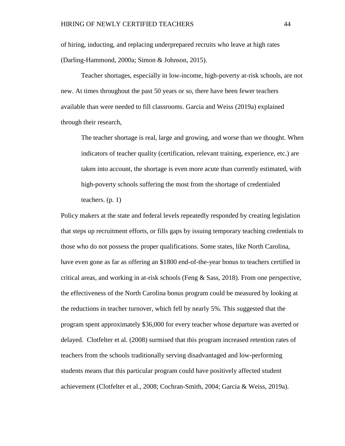of hiring, inducting, and replacing underprepared recruits who leave at high rates (Darling-Hammond, 2000a; Simon & Johnson, 2015).

Teacher shortages, especially in low-income, high-poverty at-risk schools, are not new. At times throughout the past 50 years or so, there have been fewer teachers available than were needed to fill classrooms. Garcia and Weiss (2019a) explained through their research,

The teacher shortage is real, large and growing, and worse than we thought. When indicators of teacher quality (certification, relevant training, experience, etc.) are taken into account, the shortage is even more acute than currently estimated, with high-poverty schools suffering the most from the shortage of credentialed teachers. (p. 1)

Policy makers at the state and federal levels repeatedly responded by creating legislation that steps up recruitment efforts, or fills gaps by issuing temporary teaching credentials to those who do not possess the proper qualifications. Some states, like North Carolina, have even gone as far as offering an \$1800 end-of-the-year bonus to teachers certified in critical areas, and working in at-risk schools (Feng  $\&$  Sass, 2018). From one perspective, the effectiveness of the North Carolina bonus program could be measured by looking at the reductions in teacher turnover, which fell by nearly 5%. This suggested that the program spent approximately \$36,000 for every teacher whose departure was averted or delayed. Clotfelter et al. (2008) surmised that this program increased retention rates of teachers from the schools traditionally serving disadvantaged and low-performing students means that this particular program could have positively affected student achievement (Clotfelter et al., 2008; Cochran-Smith, 2004; Garcia & Weiss, 2019a).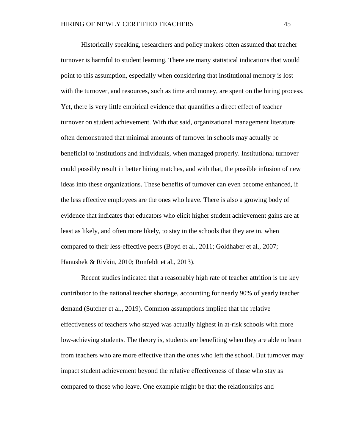Historically speaking, researchers and policy makers often assumed that teacher turnover is harmful to student learning. There are many statistical indications that would point to this assumption, especially when considering that institutional memory is lost with the turnover, and resources, such as time and money, are spent on the hiring process. Yet, there is very little empirical evidence that quantifies a direct effect of teacher turnover on student achievement. With that said, organizational management literature often demonstrated that minimal amounts of turnover in schools may actually be beneficial to institutions and individuals, when managed properly. Institutional turnover could possibly result in better hiring matches, and with that, the possible infusion of new ideas into these organizations. These benefits of turnover can even become enhanced, if the less effective employees are the ones who leave. There is also a growing body of evidence that indicates that educators who elicit higher student achievement gains are at least as likely, and often more likely, to stay in the schools that they are in, when compared to their less-effective peers (Boyd et al., 2011; Goldhaber et al., 2007; Hanushek & Rivkin, 2010; Ronfeldt et al., 2013).

Recent studies indicated that a reasonably high rate of teacher attrition is the key contributor to the national teacher shortage, accounting for nearly 90% of yearly teacher demand (Sutcher et al., 2019). Common assumptions implied that the relative effectiveness of teachers who stayed was actually highest in at-risk schools with more low-achieving students. The theory is, students are benefiting when they are able to learn from teachers who are more effective than the ones who left the school. But turnover may impact student achievement beyond the relative effectiveness of those who stay as compared to those who leave. One example might be that the relationships and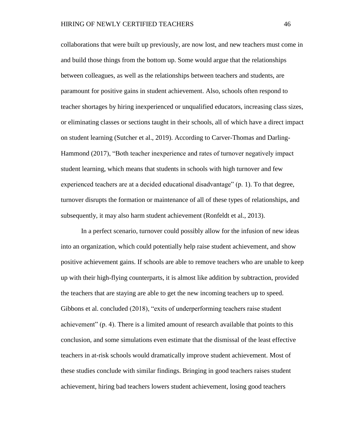collaborations that were built up previously, are now lost, and new teachers must come in and build those things from the bottom up. Some would argue that the relationships between colleagues, as well as the relationships between teachers and students, are paramount for positive gains in student achievement. Also, schools often respond to teacher shortages by hiring inexperienced or unqualified educators, increasing class sizes, or eliminating classes or sections taught in their schools, all of which have a direct impact on student learning (Sutcher et al., 2019). According to Carver-Thomas and Darling-Hammond (2017), "Both teacher inexperience and rates of turnover negatively impact student learning, which means that students in schools with high turnover and few experienced teachers are at a decided educational disadvantage" (p. 1). To that degree, turnover disrupts the formation or maintenance of all of these types of relationships, and subsequently, it may also harm student achievement (Ronfeldt et al., 2013).

In a perfect scenario, turnover could possibly allow for the infusion of new ideas into an organization, which could potentially help raise student achievement, and show positive achievement gains. If schools are able to remove teachers who are unable to keep up with their high-flying counterparts, it is almost like addition by subtraction, provided the teachers that are staying are able to get the new incoming teachers up to speed. Gibbons et al. concluded (2018), "exits of underperforming teachers raise student achievement" (p. 4). There is a limited amount of research available that points to this conclusion, and some simulations even estimate that the dismissal of the least effective teachers in at-risk schools would dramatically improve student achievement. Most of these studies conclude with similar findings. Bringing in good teachers raises student achievement, hiring bad teachers lowers student achievement, losing good teachers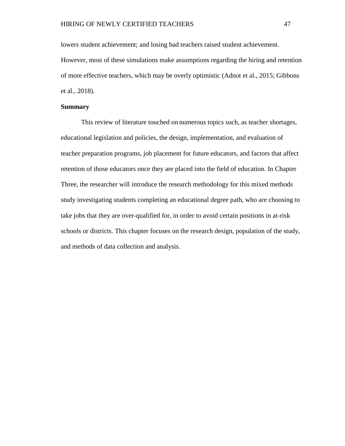lowers student achievement; and losing bad teachers raised student achievement. However, most of these simulations make assumptions regarding the hiring and retention of more effective teachers, which may be overly optimistic (Adnot et al., 2015; Gibbons et al., 2018).

#### **Summary**

This review of literature touched on numerous topics such, as teacher shortages, educational legislation and policies, the design, implementation, and evaluation of teacher preparation programs, job placement for future educators, and factors that affect retention of those educators once they are placed into the field of education. In Chapter Three, the researcher will introduce the research methodology for this mixed methods study investigating students completing an educational degree path, who are choosing to take jobs that they are over-qualified for, in order to avoid certain positions in at-risk schools or districts. This chapter focuses on the research design, population of the study, and methods of data collection and analysis.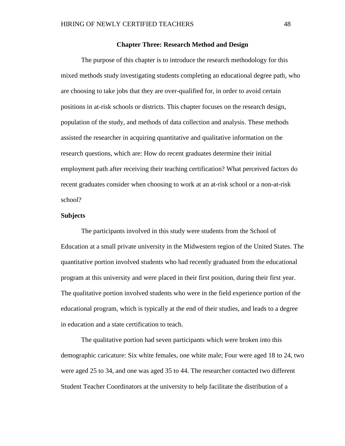#### **Chapter Three: Research Method and Design**

The purpose of this chapter is to introduce the research methodology for this mixed methods study investigating students completing an educational degree path, who are choosing to take jobs that they are over-qualified for, in order to avoid certain positions in at-risk schools or districts. This chapter focuses on the research design, population of the study, and methods of data collection and analysis. These methods assisted the researcher in acquiring quantitative and qualitative information on the research questions, which are: How do recent graduates determine their initial employment path after receiving their teaching certification? What perceived factors do recent graduates consider when choosing to work at an at-risk school or a non-at-risk school?

# **Subjects**

The participants involved in this study were students from the School of Education at a small private university in the Midwestern region of the United States. The quantitative portion involved students who had recently graduated from the educational program at this university and were placed in their first position, during their first year. The qualitative portion involved students who were in the field experience portion of the educational program, which is typically at the end of their studies, and leads to a degree in education and a state certification to teach.

The qualitative portion had seven participants which were broken into this demographic caricature: Six white females, one white male; Four were aged 18 to 24, two were aged 25 to 34, and one was aged 35 to 44. The researcher contacted two different Student Teacher Coordinators at the university to help facilitate the distribution of a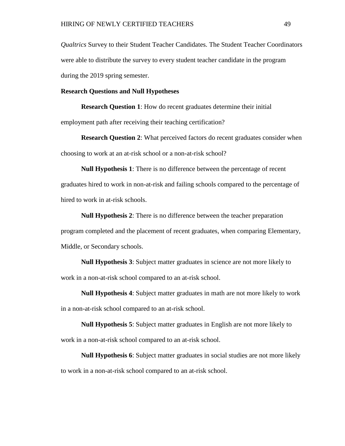*Qualtrics* Survey to their Student Teacher Candidates. The Student Teacher Coordinators were able to distribute the survey to every student teacher candidate in the program during the 2019 spring semester.

### **Research Questions and Null Hypotheses**

**Research Question 1**: How do recent graduates determine their initial employment path after receiving their teaching certification?

**Research Question 2**: What perceived factors do recent graduates consider when choosing to work at an at-risk school or a non-at-risk school?

**Null Hypothesis 1**: There is no difference between the percentage of recent graduates hired to work in non-at-risk and failing schools compared to the percentage of hired to work in at-risk schools.

**Null Hypothesis 2**: There is no difference between the teacher preparation program completed and the placement of recent graduates, when comparing Elementary, Middle, or Secondary schools.

**Null Hypothesis 3**: Subject matter graduates in science are not more likely to work in a non-at-risk school compared to an at-risk school.

**Null Hypothesis 4**: Subject matter graduates in math are not more likely to work in a non-at-risk school compared to an at-risk school.

**Null Hypothesis 5**: Subject matter graduates in English are not more likely to work in a non-at-risk school compared to an at-risk school.

**Null Hypothesis 6**: Subject matter graduates in social studies are not more likely to work in a non-at-risk school compared to an at-risk school.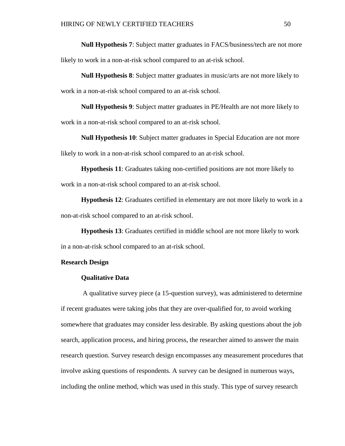**Null Hypothesis 7**: Subject matter graduates in FACS/business/tech are not more likely to work in a non-at-risk school compared to an at-risk school.

**Null Hypothesis 8**: Subject matter graduates in music/arts are not more likely to work in a non-at-risk school compared to an at-risk school.

**Null Hypothesis 9**: Subject matter graduates in PE/Health are not more likely to work in a non-at-risk school compared to an at-risk school.

**Null Hypothesis 10**: Subject matter graduates in Special Education are not more likely to work in a non-at-risk school compared to an at-risk school.

**Hypothesis 11**: Graduates taking non-certified positions are not more likely to work in a non-at-risk school compared to an at-risk school.

**Hypothesis 12**: Graduates certified in elementary are not more likely to work in a non-at-risk school compared to an at-risk school.

**Hypothesis 13**: Graduates certified in middle school are not more likely to work in a non-at-risk school compared to an at-risk school.

# **Research Design**

# **Qualitative Data**

A qualitative survey piece (a 15-question survey), was administered to determine if recent graduates were taking jobs that they are over-qualified for, to avoid working somewhere that graduates may consider less desirable. By asking questions about the job search, application process, and hiring process, the researcher aimed to answer the main research question. Survey research design encompasses any measurement procedures that involve asking questions of respondents. A survey can be designed in numerous ways, including the online method, which was used in this study. This type of survey research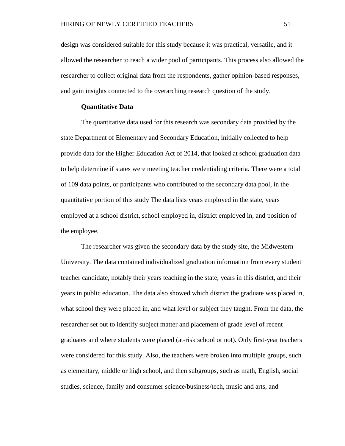design was considered suitable for this study because it was practical, versatile, and it allowed the researcher to reach a wider pool of participants. This process also allowed the researcher to collect original data from the respondents, gather opinion-based responses, and gain insights connected to the overarching research question of the study.

## **Quantitative Data**

The quantitative data used for this research was secondary data provided by the state Department of Elementary and Secondary Education, initially collected to help provide data for the Higher Education Act of 2014, that looked at school graduation data to help determine if states were meeting teacher credentialing criteria. There were a total of 109 data points, or participants who contributed to the secondary data pool, in the quantitative portion of this study The data lists years employed in the state, years employed at a school district, school employed in, district employed in, and position of the employee.

The researcher was given the secondary data by the study site, the Midwestern University. The data contained individualized graduation information from every student teacher candidate, notably their years teaching in the state, years in this district, and their years in public education. The data also showed which district the graduate was placed in, what school they were placed in, and what level or subject they taught. From the data, the researcher set out to identify subject matter and placement of grade level of recent graduates and where students were placed (at-risk school or not). Only first-year teachers were considered for this study. Also, the teachers were broken into multiple groups, such as elementary, middle or high school, and then subgroups, such as math, English, social studies, science, family and consumer science/business/tech, music and arts, and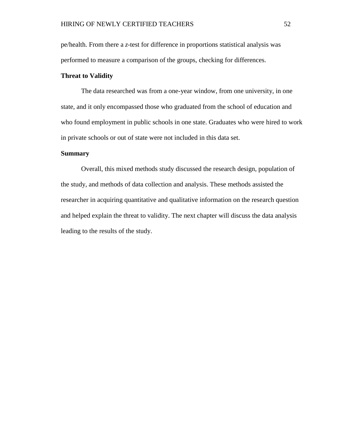pe/health. From there a *z*-test for difference in proportions statistical analysis was performed to measure a comparison of the groups, checking for differences.

## **Threat to Validity**

The data researched was from a one-year window, from one university, in one state, and it only encompassed those who graduated from the school of education and who found employment in public schools in one state. Graduates who were hired to work in private schools or out of state were not included in this data set.

# **Summary**

Overall, this mixed methods study discussed the research design, population of the study, and methods of data collection and analysis. These methods assisted the researcher in acquiring quantitative and qualitative information on the research question and helped explain the threat to validity. The next chapter will discuss the data analysis leading to the results of the study.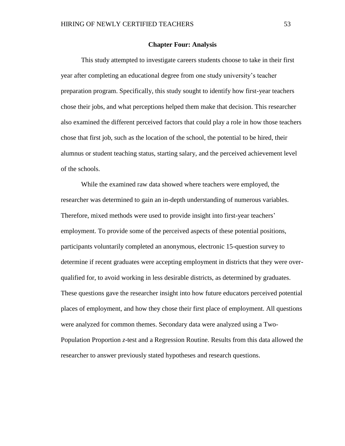#### **Chapter Four: Analysis**

This study attempted to investigate careers students choose to take in their first year after completing an educational degree from one study university's teacher preparation program. Specifically, this study sought to identify how first-year teachers chose their jobs, and what perceptions helped them make that decision. This researcher also examined the different perceived factors that could play a role in how those teachers chose that first job, such as the location of the school, the potential to be hired, their alumnus or student teaching status, starting salary, and the perceived achievement level of the schools.

While the examined raw data showed where teachers were employed, the researcher was determined to gain an in-depth understanding of numerous variables. Therefore, mixed methods were used to provide insight into first-year teachers' employment. To provide some of the perceived aspects of these potential positions, participants voluntarily completed an anonymous, electronic 15-question survey to determine if recent graduates were accepting employment in districts that they were overqualified for, to avoid working in less desirable districts, as determined by graduates. These questions gave the researcher insight into how future educators perceived potential places of employment, and how they chose their first place of employment. All questions were analyzed for common themes. Secondary data were analyzed using a Two-Population Proportion *z*-test and a Regression Routine. Results from this data allowed the researcher to answer previously stated hypotheses and research questions.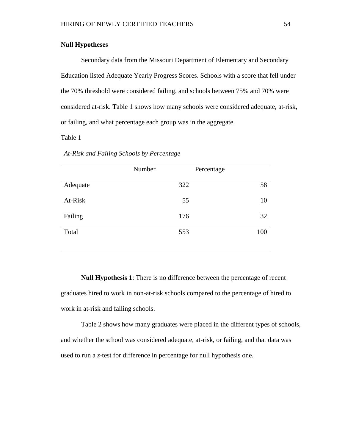# **Null Hypotheses**

Secondary data from the Missouri Department of Elementary and Secondary Education listed Adequate Yearly Progress Scores. Schools with a score that fell under the 70% threshold were considered failing, and schools between 75% and 70% were considered at-risk. Table 1 shows how many schools were considered adequate, at-risk, or failing, and what percentage each group was in the aggregate.

Table 1

|          | Number | Percentage |     |
|----------|--------|------------|-----|
| Adequate |        | 322        | 58  |
| At-Risk  |        | 55         | 10  |
| Failing  |        | 176        | 32  |
| Total    |        | 553        | 100 |

# *At-Risk and Failing Schools by Percentage*

**Null Hypothesis 1**: There is no difference between the percentage of recent graduates hired to work in non-at-risk schools compared to the percentage of hired to work in at-risk and failing schools.

Table 2 shows how many graduates were placed in the different types of schools, and whether the school was considered adequate, at-risk, or failing, and that data was used to run a *z*-test for difference in percentage for null hypothesis one.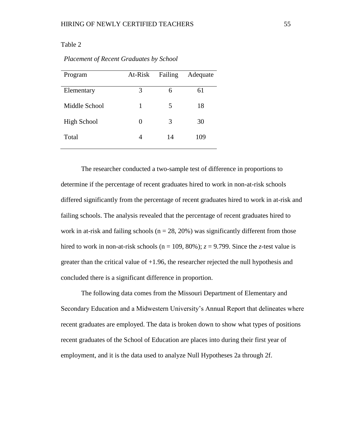# Table 2

| Program            | At-Risk | Failing                  | Adequate |
|--------------------|---------|--------------------------|----------|
|                    |         |                          |          |
| Elementary         | 3       | 6                        | 61       |
|                    |         |                          |          |
| Middle School      | 1       | $\overline{\mathcal{L}}$ | 18       |
|                    |         |                          |          |
| <b>High School</b> | 0       | 3                        | 30       |
|                    |         |                          |          |
| Total              | 4       | 14                       | 109      |
|                    |         |                          |          |

#### *Placement of Recent Graduates by School*

The researcher conducted a two-sample test of difference in proportions to determine if the percentage of recent graduates hired to work in non-at-risk schools differed significantly from the percentage of recent graduates hired to work in at-risk and failing schools. The analysis revealed that the percentage of recent graduates hired to work in at-risk and failing schools ( $n = 28, 20\%$ ) was significantly different from those hired to work in non-at-risk schools ( $n = 109, 80\%$ );  $z = 9.799$ . Since the *z*-test value is greater than the critical value of +1.96, the researcher rejected the null hypothesis and concluded there is a significant difference in proportion.

The following data comes from the Missouri Department of Elementary and Secondary Education and a Midwestern University's Annual Report that delineates where recent graduates are employed. The data is broken down to show what types of positions recent graduates of the School of Education are places into during their first year of employment, and it is the data used to analyze Null Hypotheses 2a through 2f.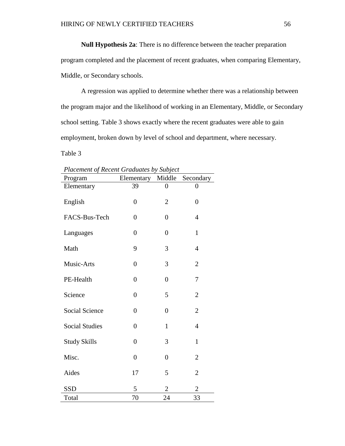**Null Hypothesis 2a**: There is no difference between the teacher preparation program completed and the placement of recent graduates, when comparing Elementary, Middle, or Secondary schools.

A regression was applied to determine whether there was a relationship between the program major and the likelihood of working in an Elementary, Middle, or Secondary school setting. Table 3 shows exactly where the recent graduates were able to gain employment, broken down by level of school and department, where necessary.

Table 3

| Placement of Recent Graduates by Subject |                   |                |                |
|------------------------------------------|-------------------|----------------|----------------|
| Program                                  | Elementary Middle |                | Secondary      |
| Elementary                               | 39                | 0              | 0              |
| English                                  | $\overline{0}$    | $\overline{2}$ | $\overline{0}$ |
| FACS-Bus-Tech                            | $\overline{0}$    | $\overline{0}$ | $\overline{4}$ |
| Languages                                | $\overline{0}$    | $\overline{0}$ | $\mathbf{1}$   |
| Math                                     | 9                 | 3              | $\overline{4}$ |
| Music-Arts                               | $\overline{0}$    | 3              | $\overline{2}$ |
| PE-Health                                | $\overline{0}$    | $\overline{0}$ | 7              |
| Science                                  | $\overline{0}$    | 5              | $\overline{2}$ |
| <b>Social Science</b>                    | $\overline{0}$    | $\overline{0}$ | $\overline{2}$ |
| <b>Social Studies</b>                    | $\overline{0}$    | $\mathbf{1}$   | $\overline{4}$ |
| <b>Study Skills</b>                      | $\overline{0}$    | 3              | $\mathbf{1}$   |
| Misc.                                    | $\overline{0}$    | $\overline{0}$ | $\overline{2}$ |
| Aides                                    | 17                | 5              | $\overline{2}$ |
| <b>SSD</b>                               | 5                 | $\overline{2}$ | $\overline{2}$ |
| Total                                    | 70                | 24             | 33             |

 $\mathcal{L}$ **P**  $\mathcal{L}$   $\mathcal{L}$   $\mathcal{L}$   $\mathcal{L}$   $\mathcal{L}$   $\mathcal{L}$   $\mathcal{L}$   $\mathcal{L}$   $\mathcal{L}$   $\mathcal{L}$   $\mathcal{L}$   $\mathcal{L}$   $\mathcal{L}$   $\mathcal{L}$   $\mathcal{L}$   $\mathcal{L}$   $\mathcal{L}$   $\mathcal{L}$   $\mathcal{L}$   $\mathcal{L}$   $\mathcal{L}$   $\mathcal{L}$   $\mathcal{L}$   $\$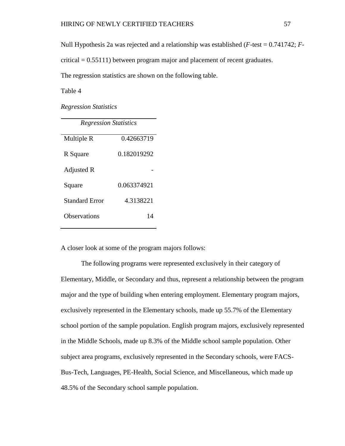Null Hypothesis 2a was rejected and a relationship was established (*F*-test = 0.741742; *F*-

 $critical = 0.55111$ ) between program major and placement of recent graduates.

The regression statistics are shown on the following table.

Table 4

*Regression Statistics*

| <b>Regression Statistics</b> |             |  |  |
|------------------------------|-------------|--|--|
| Multiple R                   | 0.42663719  |  |  |
| R Square                     | 0.182019292 |  |  |
| Adjusted R                   |             |  |  |
| Square                       | 0.063374921 |  |  |
| <b>Standard Error</b>        | 4.3138221   |  |  |
| Observations                 | 14          |  |  |

A closer look at some of the program majors follows:

The following programs were represented exclusively in their category of Elementary, Middle, or Secondary and thus, represent a relationship between the program major and the type of building when entering employment. Elementary program majors, exclusively represented in the Elementary schools, made up 55.7% of the Elementary school portion of the sample population. English program majors, exclusively represented in the Middle Schools, made up 8.3% of the Middle school sample population. Other subject area programs, exclusively represented in the Secondary schools, were FACS-Bus-Tech, Languages, PE-Health, Social Science, and Miscellaneous, which made up 48.5% of the Secondary school sample population.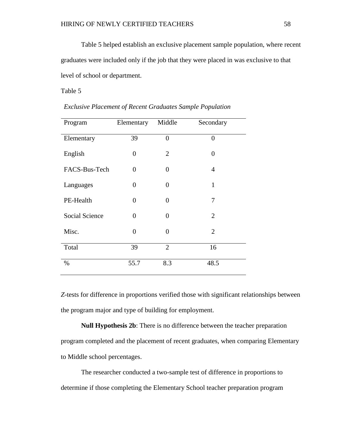Table 5 helped establish an exclusive placement sample population, where recent graduates were included only if the job that they were placed in was exclusive to that level of school or department.

Table 5

| Program        | Elementary | Middle         | Secondary      |
|----------------|------------|----------------|----------------|
| Elementary     | 39         | $\overline{0}$ | $\overline{0}$ |
| English        | $\theta$   | $\overline{2}$ | $\overline{0}$ |
| FACS-Bus-Tech  | 0          | $\theta$       | $\overline{4}$ |
| Languages      | $\theta$   | $\overline{0}$ | $\mathbf{1}$   |
| PE-Health      | $\theta$   | $\theta$       | 7              |
| Social Science | 0          | $\overline{0}$ | $\overline{2}$ |
| Misc.          | 0          | $\theta$       | $\overline{2}$ |
| Total          | 39         | $\overline{2}$ | 16             |
| $\%$           | 55.7       | 8.3            | 48.5           |

*Exclusive Placement of Recent Graduates Sample Population*

*Z*-tests for difference in proportions verified those with significant relationships between the program major and type of building for employment.

**Null Hypothesis 2b**: There is no difference between the teacher preparation program completed and the placement of recent graduates, when comparing Elementary to Middle school percentages.

The researcher conducted a two-sample test of difference in proportions to determine if those completing the Elementary School teacher preparation program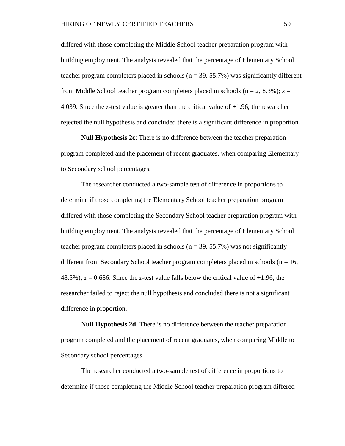differed with those completing the Middle School teacher preparation program with building employment. The analysis revealed that the percentage of Elementary School teacher program completers placed in schools ( $n = 39, 55.7\%$ ) was significantly different from Middle School teacher program completers placed in schools ( $n = 2$ , 8.3%);  $z =$ 4.039. Since the *z*-test value is greater than the critical value of +1.96, the researcher rejected the null hypothesis and concluded there is a significant difference in proportion.

**Null Hypothesis 2c**: There is no difference between the teacher preparation program completed and the placement of recent graduates, when comparing Elementary to Secondary school percentages.

The researcher conducted a two-sample test of difference in proportions to determine if those completing the Elementary School teacher preparation program differed with those completing the Secondary School teacher preparation program with building employment. The analysis revealed that the percentage of Elementary School teacher program completers placed in schools ( $n = 39, 55.7\%$ ) was not significantly different from Secondary School teacher program completers placed in schools ( $n = 16$ , 48.5%);  $z = 0.686$ . Since the *z*-test value falls below the critical value of  $+1.96$ , the researcher failed to reject the null hypothesis and concluded there is not a significant difference in proportion.

**Null Hypothesis 2d**: There is no difference between the teacher preparation program completed and the placement of recent graduates, when comparing Middle to Secondary school percentages.

The researcher conducted a two-sample test of difference in proportions to determine if those completing the Middle School teacher preparation program differed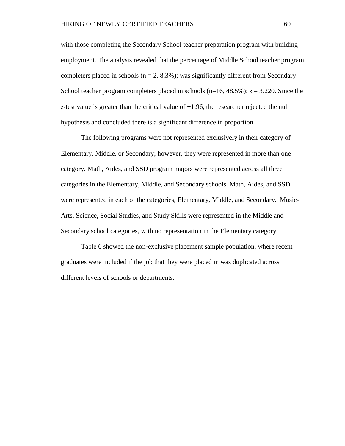with those completing the Secondary School teacher preparation program with building employment. The analysis revealed that the percentage of Middle School teacher program completers placed in schools ( $n = 2, 8.3\%$ ); was significantly different from Secondary School teacher program completers placed in schools  $(n=16, 48.5\%)$ ;  $z = 3.220$ . Since the *z*-test value is greater than the critical value of +1.96, the researcher rejected the null hypothesis and concluded there is a significant difference in proportion.

The following programs were not represented exclusively in their category of Elementary, Middle, or Secondary; however, they were represented in more than one category. Math, Aides, and SSD program majors were represented across all three categories in the Elementary, Middle, and Secondary schools. Math, Aides, and SSD were represented in each of the categories, Elementary, Middle, and Secondary. Music-Arts, Science, Social Studies, and Study Skills were represented in the Middle and Secondary school categories, with no representation in the Elementary category.

Table 6 showed the non-exclusive placement sample population, where recent graduates were included if the job that they were placed in was duplicated across different levels of schools or departments.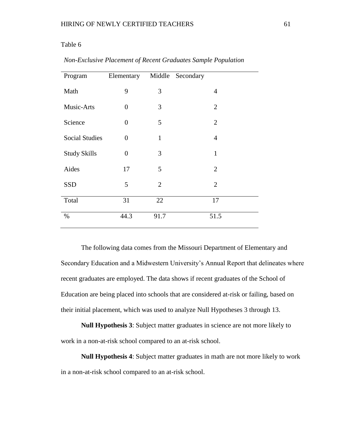# Table 6

| Program               | Elementary     | Middle         | Secondary      |
|-----------------------|----------------|----------------|----------------|
| Math                  | 9              | 3              | $\overline{4}$ |
| Music-Arts            | $\overline{0}$ | 3              | $\overline{2}$ |
| Science               | $\overline{0}$ | 5              | $\overline{2}$ |
| <b>Social Studies</b> | $\overline{0}$ | $\mathbf{1}$   | $\overline{4}$ |
| <b>Study Skills</b>   | $\overline{0}$ | 3              | $\mathbf{1}$   |
| Aides                 | 17             | 5              | $\overline{2}$ |
| <b>SSD</b>            | 5              | $\overline{2}$ | $\overline{2}$ |
| Total                 | 31             | 22             | 17             |
| $\%$                  | 44.3           | 91.7           | 51.5           |

*Non-Exclusive Placement of Recent Graduates Sample Population*

The following data comes from the Missouri Department of Elementary and Secondary Education and a Midwestern University's Annual Report that delineates where recent graduates are employed. The data shows if recent graduates of the School of Education are being placed into schools that are considered at-risk or failing, based on their initial placement, which was used to analyze Null Hypotheses 3 through 13.

**Null Hypothesis 3**: Subject matter graduates in science are not more likely to work in a non-at-risk school compared to an at-risk school.

**Null Hypothesis 4**: Subject matter graduates in math are not more likely to work in a non-at-risk school compared to an at-risk school.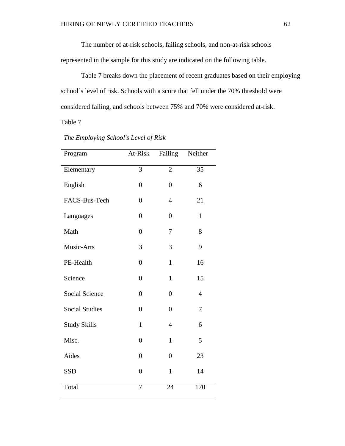The number of at-risk schools, failing schools, and non-at-risk schools

represented in the sample for this study are indicated on the following table.

Table 7 breaks down the placement of recent graduates based on their employing school's level of risk. Schools with a score that fell under the 70% threshold were considered failing, and schools between 75% and 70% were considered at-risk.

Table 7

| Program               | At-Risk        | Failing        | Neither        |
|-----------------------|----------------|----------------|----------------|
| Elementary            | $\overline{3}$ | $\overline{c}$ | 35             |
| English               | $\overline{0}$ | $\overline{0}$ | 6              |
| FACS-Bus-Tech         | $\overline{0}$ | $\overline{4}$ | 21             |
| Languages             | $\overline{0}$ | $\overline{0}$ | $\mathbf{1}$   |
| Math                  | $\overline{0}$ | 7              | 8              |
| Music-Arts            | 3              | 3              | 9              |
| PE-Health             | $\overline{0}$ | $\mathbf{1}$   | 16             |
| Science               | $\overline{0}$ | $\mathbf{1}$   | 15             |
| <b>Social Science</b> | $\overline{0}$ | $\overline{0}$ | $\overline{4}$ |
| <b>Social Studies</b> | $\overline{0}$ | $\overline{0}$ | 7              |
| <b>Study Skills</b>   | $\mathbf{1}$   | $\overline{4}$ | 6              |
| Misc.                 | $\overline{0}$ | $\mathbf{1}$   | 5              |
| Aides                 | $\overline{0}$ | $\overline{0}$ | 23             |
| <b>SSD</b>            | $\overline{0}$ | $\mathbf{1}$   | 14             |
| Total                 | 7              | 24             | 170            |

# *The Employing School's Level of Risk*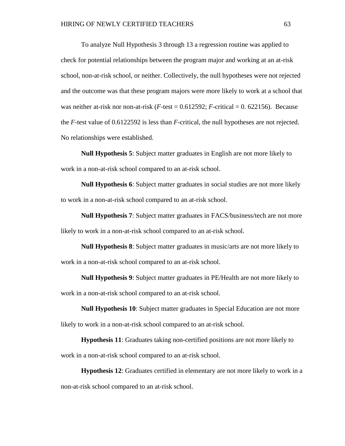To analyze Null Hypothesis 3 through 13 a regression routine was applied to check for potential relationships between the program major and working at an at-risk school, non-at-risk school, or neither. Collectively, the null hypotheses were not rejected and the outcome was that these program majors were more likely to work at a school that was neither at-risk nor non-at-risk  $(F$ -test =  $0.612592$ ;  $F$ -critical = 0.622156). Because the *F*-test value of 0.6122592 is less than *F*-critical, the null hypotheses are not rejected. No relationships were established.

**Null Hypothesis 5**: Subject matter graduates in English are not more likely to work in a non-at-risk school compared to an at-risk school.

**Null Hypothesis 6**: Subject matter graduates in social studies are not more likely to work in a non-at-risk school compared to an at-risk school.

**Null Hypothesis 7**: Subject matter graduates in FACS/business/tech are not more likely to work in a non-at-risk school compared to an at-risk school.

**Null Hypothesis 8**: Subject matter graduates in music/arts are not more likely to work in a non-at-risk school compared to an at-risk school.

**Null Hypothesis 9**: Subject matter graduates in PE/Health are not more likely to work in a non-at-risk school compared to an at-risk school.

**Null Hypothesis 10**: Subject matter graduates in Special Education are not more likely to work in a non-at-risk school compared to an at-risk school.

**Hypothesis 11**: Graduates taking non-certified positions are not more likely to work in a non-at-risk school compared to an at-risk school.

**Hypothesis 12**: Graduates certified in elementary are not more likely to work in a non-at-risk school compared to an at-risk school.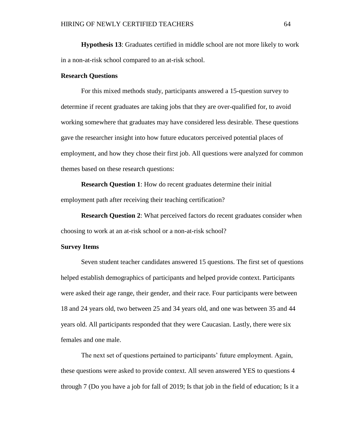**Hypothesis 13**: Graduates certified in middle school are not more likely to work in a non-at-risk school compared to an at-risk school.

#### **Research Questions**

For this mixed methods study, participants answered a 15-question survey to determine if recent graduates are taking jobs that they are over-qualified for, to avoid working somewhere that graduates may have considered less desirable. These questions gave the researcher insight into how future educators perceived potential places of employment, and how they chose their first job. All questions were analyzed for common themes based on these research questions:

**Research Question 1**: How do recent graduates determine their initial employment path after receiving their teaching certification?

**Research Question 2**: What perceived factors do recent graduates consider when choosing to work at an at-risk school or a non-at-risk school?

#### **Survey Items**

Seven student teacher candidates answered 15 questions. The first set of questions helped establish demographics of participants and helped provide context. Participants were asked their age range, their gender, and their race. Four participants were between 18 and 24 years old, two between 25 and 34 years old, and one was between 35 and 44 years old. All participants responded that they were Caucasian. Lastly, there were six females and one male.

The next set of questions pertained to participants' future employment. Again, these questions were asked to provide context. All seven answered YES to questions 4 through 7 (Do you have a job for fall of 2019; Is that job in the field of education; Is it a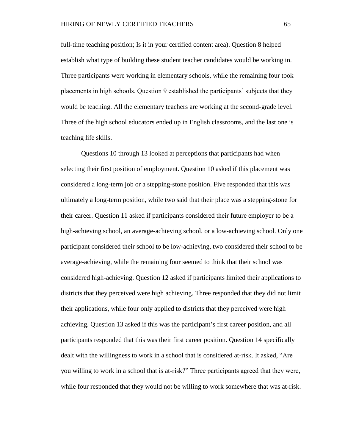full-time teaching position; Is it in your certified content area). Question 8 helped establish what type of building these student teacher candidates would be working in. Three participants were working in elementary schools, while the remaining four took placements in high schools. Question 9 established the participants' subjects that they would be teaching. All the elementary teachers are working at the second-grade level. Three of the high school educators ended up in English classrooms, and the last one is teaching life skills.

Questions 10 through 13 looked at perceptions that participants had when selecting their first position of employment. Question 10 asked if this placement was considered a long-term job or a stepping-stone position. Five responded that this was ultimately a long-term position, while two said that their place was a stepping-stone for their career. Question 11 asked if participants considered their future employer to be a high-achieving school, an average-achieving school, or a low-achieving school. Only one participant considered their school to be low-achieving, two considered their school to be average-achieving, while the remaining four seemed to think that their school was considered high-achieving. Question 12 asked if participants limited their applications to districts that they perceived were high achieving. Three responded that they did not limit their applications, while four only applied to districts that they perceived were high achieving. Question 13 asked if this was the participant's first career position, and all participants responded that this was their first career position. Question 14 specifically dealt with the willingness to work in a school that is considered at-risk. It asked, "Are you willing to work in a school that is at-risk?" Three participants agreed that they were, while four responded that they would not be willing to work somewhere that was at-risk.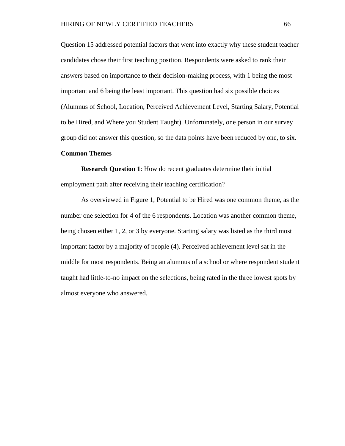Question 15 addressed potential factors that went into exactly why these student teacher candidates chose their first teaching position. Respondents were asked to rank their answers based on importance to their decision-making process, with 1 being the most important and 6 being the least important. This question had six possible choices (Alumnus of School, Location, Perceived Achievement Level, Starting Salary, Potential to be Hired, and Where you Student Taught). Unfortunately, one person in our survey group did not answer this question, so the data points have been reduced by one, to six.

#### **Common Themes**

**Research Question 1**: How do recent graduates determine their initial employment path after receiving their teaching certification?

As overviewed in Figure 1, Potential to be Hired was one common theme, as the number one selection for 4 of the 6 respondents. Location was another common theme, being chosen either 1, 2, or 3 by everyone. Starting salary was listed as the third most important factor by a majority of people (4). Perceived achievement level sat in the middle for most respondents. Being an alumnus of a school or where respondent student taught had little-to-no impact on the selections, being rated in the three lowest spots by almost everyone who answered.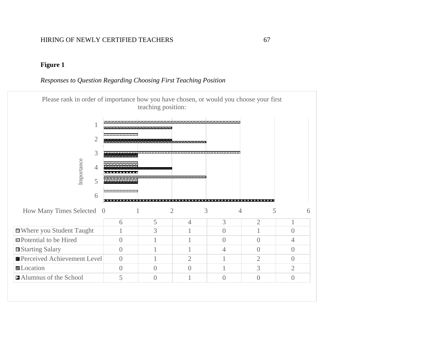# **Figure 1**

# *Responses to Question Regarding Choosing First Teaching Position*

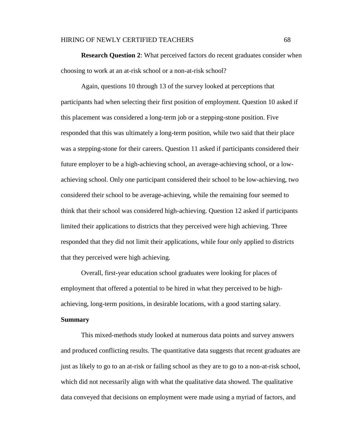#### HIRING OF NEWLY CERTIFIED TEACHERS 68

**Research Question 2**: What perceived factors do recent graduates consider when choosing to work at an at-risk school or a non-at-risk school?

Again, questions 10 through 13 of the survey looked at perceptions that participants had when selecting their first position of employment. Question 10 asked if this placement was considered a long-term job or a stepping-stone position. Five responded that this was ultimately a long-term position, while two said that their place was a stepping-stone for their careers. Question 11 asked if participants considered their future employer to be a high-achieving school, an average-achieving school, or a lowachieving school. Only one participant considered their school to be low-achieving, two considered their school to be average-achieving, while the remaining four seemed to think that their school was considered high-achieving. Question 12 asked if participants limited their applications to districts that they perceived were high achieving. Three responded that they did not limit their applications, while four only applied to districts that they perceived were high achieving.

Overall, first-year education school graduates were looking for places of employment that offered a potential to be hired in what they perceived to be highachieving, long-term positions, in desirable locations, with a good starting salary.

## **Summary**

This mixed-methods study looked at numerous data points and survey answers and produced conflicting results. The quantitative data suggests that recent graduates are just as likely to go to an at-risk or failing school as they are to go to a non-at-risk school, which did not necessarily align with what the qualitative data showed. The qualitative data conveyed that decisions on employment were made using a myriad of factors, and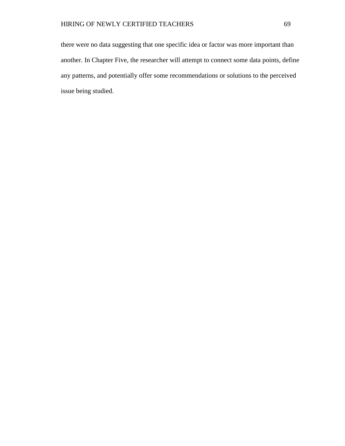there were no data suggesting that one specific idea or factor was more important than another. In Chapter Five, the researcher will attempt to connect some data points, define any patterns, and potentially offer some recommendations or solutions to the perceived issue being studied.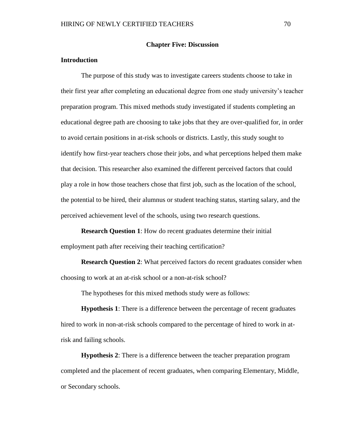#### **Chapter Five: Discussion**

## **Introduction**

The purpose of this study was to investigate careers students choose to take in their first year after completing an educational degree from one study university's teacher preparation program. This mixed methods study investigated if students completing an educational degree path are choosing to take jobs that they are over-qualified for, in order to avoid certain positions in at-risk schools or districts. Lastly, this study sought to identify how first-year teachers chose their jobs, and what perceptions helped them make that decision. This researcher also examined the different perceived factors that could play a role in how those teachers chose that first job, such as the location of the school, the potential to be hired, their alumnus or student teaching status, starting salary, and the perceived achievement level of the schools, using two research questions.

**Research Question 1**: How do recent graduates determine their initial employment path after receiving their teaching certification?

**Research Question 2**: What perceived factors do recent graduates consider when choosing to work at an at-risk school or a non-at-risk school?

The hypotheses for this mixed methods study were as follows:

**Hypothesis 1**: There is a difference between the percentage of recent graduates hired to work in non-at-risk schools compared to the percentage of hired to work in atrisk and failing schools.

**Hypothesis 2**: There is a difference between the teacher preparation program completed and the placement of recent graduates, when comparing Elementary, Middle, or Secondary schools.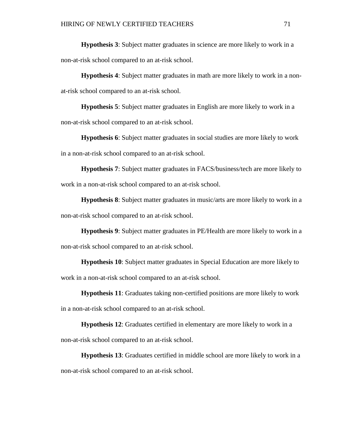**Hypothesis 3**: Subject matter graduates in science are more likely to work in a non-at-risk school compared to an at-risk school.

**Hypothesis 4**: Subject matter graduates in math are more likely to work in a nonat-risk school compared to an at-risk school.

**Hypothesis 5**: Subject matter graduates in English are more likely to work in a non-at-risk school compared to an at-risk school.

**Hypothesis 6**: Subject matter graduates in social studies are more likely to work in a non-at-risk school compared to an at-risk school.

**Hypothesis 7**: Subject matter graduates in FACS/business/tech are more likely to work in a non-at-risk school compared to an at-risk school.

**Hypothesis 8**: Subject matter graduates in music/arts are more likely to work in a non-at-risk school compared to an at-risk school.

**Hypothesis 9**: Subject matter graduates in PE/Health are more likely to work in a non-at-risk school compared to an at-risk school.

**Hypothesis 10**: Subject matter graduates in Special Education are more likely to work in a non-at-risk school compared to an at-risk school.

**Hypothesis 11**: Graduates taking non-certified positions are more likely to work

in a non-at-risk school compared to an at-risk school.

**Hypothesis 12**: Graduates certified in elementary are more likely to work in a non-at-risk school compared to an at-risk school.

**Hypothesis 13**: Graduates certified in middle school are more likely to work in a non-at-risk school compared to an at-risk school.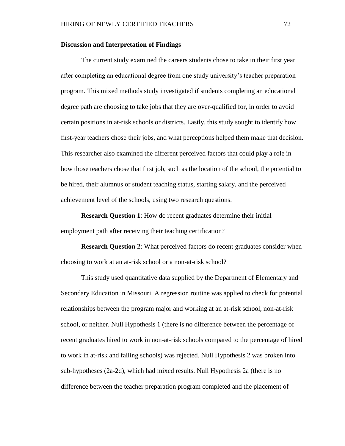#### **Discussion and Interpretation of Findings**

The current study examined the careers students chose to take in their first year after completing an educational degree from one study university's teacher preparation program. This mixed methods study investigated if students completing an educational degree path are choosing to take jobs that they are over-qualified for, in order to avoid certain positions in at-risk schools or districts. Lastly, this study sought to identify how first-year teachers chose their jobs, and what perceptions helped them make that decision. This researcher also examined the different perceived factors that could play a role in how those teachers chose that first job, such as the location of the school, the potential to be hired, their alumnus or student teaching status, starting salary, and the perceived achievement level of the schools, using two research questions.

**Research Question 1**: How do recent graduates determine their initial employment path after receiving their teaching certification?

**Research Question 2**: What perceived factors do recent graduates consider when choosing to work at an at-risk school or a non-at-risk school?

This study used quantitative data supplied by the Department of Elementary and Secondary Education in Missouri. A regression routine was applied to check for potential relationships between the program major and working at an at-risk school, non-at-risk school, or neither. Null Hypothesis 1 (there is no difference between the percentage of recent graduates hired to work in non-at-risk schools compared to the percentage of hired to work in at-risk and failing schools) was rejected. Null Hypothesis 2 was broken into sub-hypotheses (2a-2d), which had mixed results. Null Hypothesis 2a (there is no difference between the teacher preparation program completed and the placement of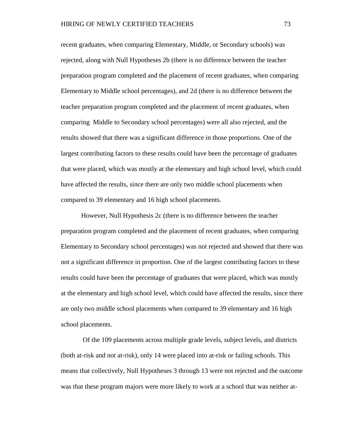recent graduates, when comparing Elementary, Middle, or Secondary schools) was rejected, along with Null Hypotheses 2b (there is no difference between the teacher preparation program completed and the placement of recent graduates, when comparing Elementary to Middle school percentages), and 2d (there is no difference between the teacher preparation program completed and the placement of recent graduates, when comparing Middle to Secondary school percentages) were all also rejected, and the results showed that there was a significant difference in those proportions. One of the largest contributing factors to these results could have been the percentage of graduates that were placed, which was mostly at the elementary and high school level, which could have affected the results, since there are only two middle school placements when compared to 39 elementary and 16 high school placements.

However, Null Hypothesis 2c (there is no difference between the teacher preparation program completed and the placement of recent graduates, when comparing Elementary to Secondary school percentages) was not rejected and showed that there was not a significant difference in proportion. One of the largest contributing factors to these results could have been the percentage of graduates that were placed, which was mostly at the elementary and high school level, which could have affected the results, since there are only two middle school placements when compared to 39 elementary and 16 high school placements.

Of the 109 placements across multiple grade levels, subject levels, and districts (both at-risk and not at-risk), only 14 were placed into at-risk or failing schools. This means that collectively, Null Hypotheses 3 through 13 were not rejected and the outcome was that these program majors were more likely to work at a school that was neither at-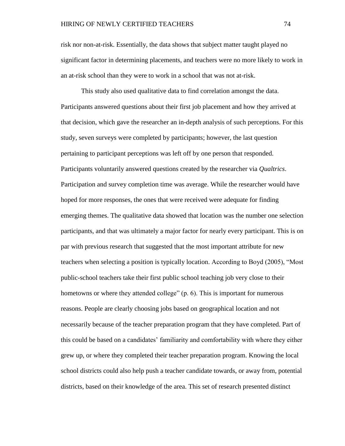risk nor non-at-risk. Essentially, the data shows that subject matter taught played no significant factor in determining placements, and teachers were no more likely to work in an at-risk school than they were to work in a school that was not at-risk.

This study also used qualitative data to find correlation amongst the data. Participants answered questions about their first job placement and how they arrived at that decision, which gave the researcher an in-depth analysis of such perceptions. For this study, seven surveys were completed by participants; however, the last question pertaining to participant perceptions was left off by one person that responded. Participants voluntarily answered questions created by the researcher via *Qualtrics*. Participation and survey completion time was average. While the researcher would have hoped for more responses, the ones that were received were adequate for finding emerging themes. The qualitative data showed that location was the number one selection participants, and that was ultimately a major factor for nearly every participant. This is on par with previous research that suggested that the most important attribute for new teachers when selecting a position is typically location. According to Boyd (2005), "Most public-school teachers take their first public school teaching job very close to their hometowns or where they attended college" (p. 6). This is important for numerous reasons. People are clearly choosing jobs based on geographical location and not necessarily because of the teacher preparation program that they have completed. Part of this could be based on a candidates' familiarity and comfortability with where they either grew up, or where they completed their teacher preparation program. Knowing the local school districts could also help push a teacher candidate towards, or away from, potential districts, based on their knowledge of the area. This set of research presented distinct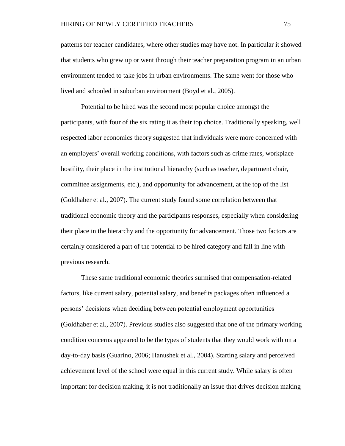patterns for teacher candidates, where other studies may have not. In particular it showed that students who grew up or went through their teacher preparation program in an urban environment tended to take jobs in urban environments. The same went for those who lived and schooled in suburban environment (Boyd et al., 2005).

Potential to be hired was the second most popular choice amongst the participants, with four of the six rating it as their top choice. Traditionally speaking, well respected labor economics theory suggested that individuals were more concerned with an employers' overall working conditions, with factors such as crime rates, workplace hostility, their place in the institutional hierarchy (such as teacher, department chair, committee assignments, etc.), and opportunity for advancement, at the top of the list (Goldhaber et al., 2007). The current study found some correlation between that traditional economic theory and the participants responses, especially when considering their place in the hierarchy and the opportunity for advancement. Those two factors are certainly considered a part of the potential to be hired category and fall in line with previous research.

These same traditional economic theories surmised that compensation-related factors, like current salary, potential salary, and benefits packages often influenced a persons' decisions when deciding between potential employment opportunities (Goldhaber et al., 2007). Previous studies also suggested that one of the primary working condition concerns appeared to be the types of students that they would work with on a day-to-day basis (Guarino, 2006; Hanushek et al., 2004). Starting salary and perceived achievement level of the school were equal in this current study. While salary is often important for decision making, it is not traditionally an issue that drives decision making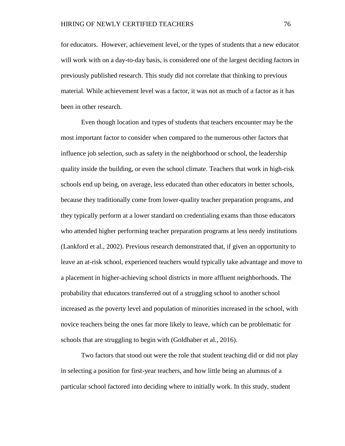for educators. However, achievement level, or the types of students that a new educator will work with on a day-to-day basis, is considered one of the largest deciding factors in previously published research. This study did not correlate that thinking to previous material. While achievement level was a factor, it was not as much of a factor as it has been in other research.

Even though location and types of students that teachers encounter may be the most important factor to consider when compared to the numerous other factors that influence job selection, such as safety in the neighborhood or school, the leadership quality inside the building, or even the school climate. Teachers that work in high-risk schools end up being, on average, less educated than other educators in better schools, because they traditionally come from lower-quality teacher preparation programs, and they typically perform at a lower standard on credentialing exams than those educators who attended higher performing teacher preparation programs at less needy institutions (Lankford et al., 2002). Previous research demonstrated that, if given an opportunity to leave an at-risk school, experienced teachers would typically take advantage and move to a placement in higher-achieving school districts in more affluent neighborhoods. The probability that educators transferred out of a struggling school to another school increased as the poverty level and population of minorities increased in the school, with novice teachers being the ones far more likely to leave, which can be problematic for schools that are struggling to begin with (Goldhaber et al., 2016).

Two factors that stood out were the role that student teaching did or did not play in selecting a position for first-year teachers, and how little being an alumnus of a particular school factored into deciding where to initially work. In this study, student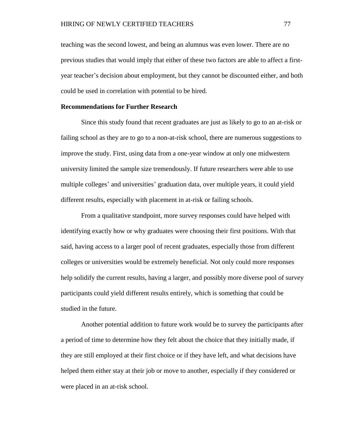teaching was the second lowest, and being an alumnus was even lower. There are no previous studies that would imply that either of these two factors are able to affect a firstyear teacher's decision about employment, but they cannot be discounted either, and both could be used in correlation with potential to be hired.

#### **Recommendations for Further Research**

Since this study found that recent graduates are just as likely to go to an at-risk or failing school as they are to go to a non-at-risk school, there are numerous suggestions to improve the study. First, using data from a one-year window at only one midwestern university limited the sample size tremendously. If future researchers were able to use multiple colleges' and universities' graduation data, over multiple years, it could yield different results, especially with placement in at-risk or failing schools.

From a qualitative standpoint, more survey responses could have helped with identifying exactly how or why graduates were choosing their first positions. With that said, having access to a larger pool of recent graduates, especially those from different colleges or universities would be extremely beneficial. Not only could more responses help solidify the current results, having a larger, and possibly more diverse pool of survey participants could yield different results entirely, which is something that could be studied in the future.

Another potential addition to future work would be to survey the participants after a period of time to determine how they felt about the choice that they initially made, if they are still employed at their first choice or if they have left, and what decisions have helped them either stay at their job or move to another, especially if they considered or were placed in an at-risk school.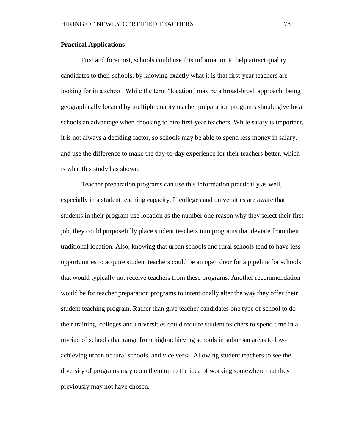#### **Practical Applications**

First and foremost, schools could use this information to help attract quality candidates to their schools, by knowing exactly what it is that first-year teachers are looking for in a school. While the term "location" may be a broad-brush approach, being geographically located by multiple quality teacher preparation programs should give local schools an advantage when choosing to hire first-year teachers. While salary is important, it is not always a deciding factor, so schools may be able to spend less money in salary, and use the difference to make the day-to-day experience for their teachers better, which is what this study has shown.

Teacher preparation programs can use this information practically as well, especially in a student teaching capacity. If colleges and universities are aware that students in their program use location as the number one reason why they select their first job, they could purposefully place student teachers into programs that deviate from their traditional location. Also, knowing that urban schools and rural schools tend to have less opportunities to acquire student teachers could be an open door for a pipeline for schools that would typically not receive teachers from these programs. Another recommendation would be for teacher preparation programs to intentionally alter the way they offer their student teaching program. Rather than give teacher candidates one type of school to do their training, colleges and universities could require student teachers to spend time in a myriad of schools that range from high-achieving schools in suburban areas to lowachieving urban or rural schools, and vice versa. Allowing student teachers to see the diversity of programs may open them up to the idea of working somewhere that they previously may not have chosen.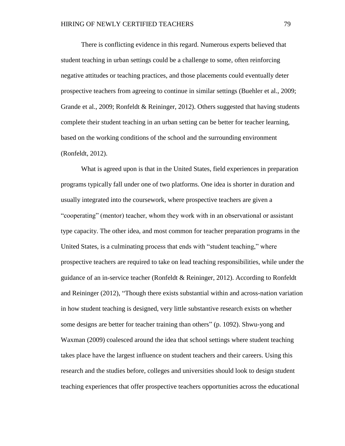There is conflicting evidence in this regard. Numerous experts believed that student teaching in urban settings could be a challenge to some, often reinforcing negative attitudes or teaching practices, and those placements could eventually deter prospective teachers from agreeing to continue in similar settings (Buehler et al., 2009; Grande et al., 2009; Ronfeldt & Reininger, 2012). Others suggested that having students complete their student teaching in an urban setting can be better for teacher learning, based on the working conditions of the school and the surrounding environment (Ronfeldt, 2012).

What is agreed upon is that in the United States, field experiences in preparation programs typically fall under one of two platforms. One idea is shorter in duration and usually integrated into the coursework, where prospective teachers are given a "cooperating" (mentor) teacher, whom they work with in an observational or assistant type capacity. The other idea, and most common for teacher preparation programs in the United States, is a culminating process that ends with "student teaching," where prospective teachers are required to take on lead teaching responsibilities, while under the guidance of an in-service teacher (Ronfeldt & Reininger, 2012). According to Ronfeldt and Reininger (2012), "Though there exists substantial within and across-nation variation in how student teaching is designed, very little substantive research exists on whether some designs are better for teacher training than others" (p. 1092). Shwu-yong and Waxman (2009) coalesced around the idea that school settings where student teaching takes place have the largest influence on student teachers and their careers. Using this research and the studies before, colleges and universities should look to design student teaching experiences that offer prospective teachers opportunities across the educational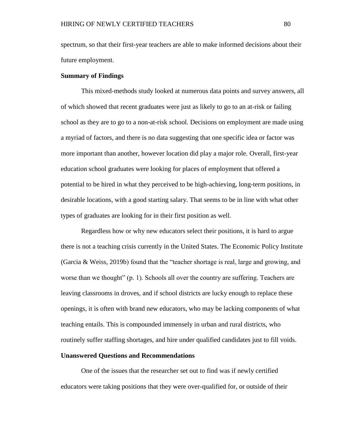spectrum, so that their first-year teachers are able to make informed decisions about their future employment.

## **Summary of Findings**

This mixed-methods study looked at numerous data points and survey answers, all of which showed that recent graduates were just as likely to go to an at-risk or failing school as they are to go to a non-at-risk school. Decisions on employment are made using a myriad of factors, and there is no data suggesting that one specific idea or factor was more important than another, however location did play a major role. Overall, first-year education school graduates were looking for places of employment that offered a potential to be hired in what they perceived to be high-achieving, long-term positions, in desirable locations, with a good starting salary. That seems to be in line with what other types of graduates are looking for in their first position as well.

Regardless how or why new educators select their positions, it is hard to argue there is not a teaching crisis currently in the United States. The Economic Policy Institute (Garcia & Weiss, 2019b) found that the "teacher shortage is real, large and growing, and worse than we thought" (p. 1). Schools all over the country are suffering. Teachers are leaving classrooms in droves, and if school districts are lucky enough to replace these openings, it is often with brand new educators, who may be lacking components of what teaching entails. This is compounded immensely in urban and rural districts, who routinely suffer staffing shortages, and hire under qualified candidates just to fill voids.

#### **Unanswered Questions and Recommendations**

One of the issues that the researcher set out to find was if newly certified educators were taking positions that they were over-qualified for, or outside of their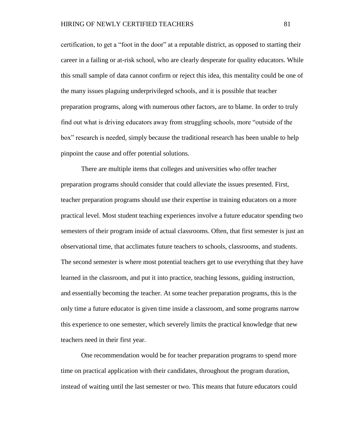certification, to get a "foot in the door" at a reputable district, as opposed to starting their career in a failing or at-risk school, who are clearly desperate for quality educators. While this small sample of data cannot confirm or reject this idea, this mentality could be one of the many issues plaguing underprivileged schools, and it is possible that teacher preparation programs, along with numerous other factors, are to blame. In order to truly find out what is driving educators away from struggling schools, more "outside of the box" research is needed, simply because the traditional research has been unable to help pinpoint the cause and offer potential solutions.

There are multiple items that colleges and universities who offer teacher preparation programs should consider that could alleviate the issues presented. First, teacher preparation programs should use their expertise in training educators on a more practical level. Most student teaching experiences involve a future educator spending two semesters of their program inside of actual classrooms. Often, that first semester is just an observational time, that acclimates future teachers to schools, classrooms, and students. The second semester is where most potential teachers get to use everything that they have learned in the classroom, and put it into practice, teaching lessons, guiding instruction, and essentially becoming the teacher. At some teacher preparation programs, this is the only time a future educator is given time inside a classroom, and some programs narrow this experience to one semester, which severely limits the practical knowledge that new teachers need in their first year.

One recommendation would be for teacher preparation programs to spend more time on practical application with their candidates, throughout the program duration, instead of waiting until the last semester or two. This means that future educators could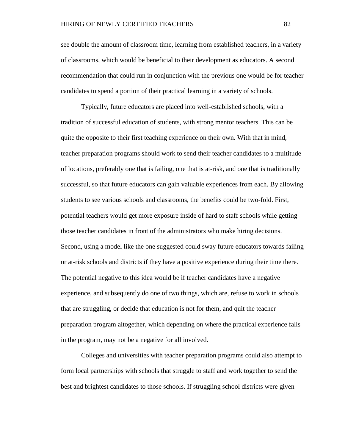see double the amount of classroom time, learning from established teachers, in a variety of classrooms, which would be beneficial to their development as educators. A second recommendation that could run in conjunction with the previous one would be for teacher candidates to spend a portion of their practical learning in a variety of schools.

Typically, future educators are placed into well-established schools, with a tradition of successful education of students, with strong mentor teachers. This can be quite the opposite to their first teaching experience on their own. With that in mind, teacher preparation programs should work to send their teacher candidates to a multitude of locations, preferably one that is failing, one that is at-risk, and one that is traditionally successful, so that future educators can gain valuable experiences from each. By allowing students to see various schools and classrooms, the benefits could be two-fold. First, potential teachers would get more exposure inside of hard to staff schools while getting those teacher candidates in front of the administrators who make hiring decisions. Second, using a model like the one suggested could sway future educators towards failing or at-risk schools and districts if they have a positive experience during their time there. The potential negative to this idea would be if teacher candidates have a negative experience, and subsequently do one of two things, which are, refuse to work in schools that are struggling, or decide that education is not for them, and quit the teacher preparation program altogether, which depending on where the practical experience falls in the program, may not be a negative for all involved.

Colleges and universities with teacher preparation programs could also attempt to form local partnerships with schools that struggle to staff and work together to send the best and brightest candidates to those schools. If struggling school districts were given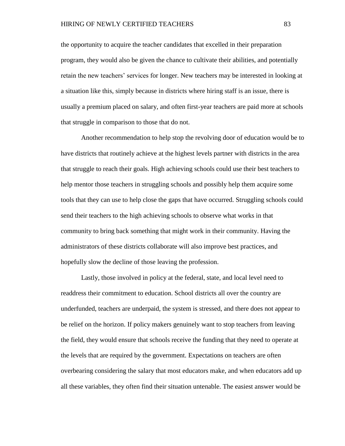the opportunity to acquire the teacher candidates that excelled in their preparation program, they would also be given the chance to cultivate their abilities, and potentially retain the new teachers' services for longer. New teachers may be interested in looking at a situation like this, simply because in districts where hiring staff is an issue, there is usually a premium placed on salary, and often first-year teachers are paid more at schools that struggle in comparison to those that do not.

Another recommendation to help stop the revolving door of education would be to have districts that routinely achieve at the highest levels partner with districts in the area that struggle to reach their goals. High achieving schools could use their best teachers to help mentor those teachers in struggling schools and possibly help them acquire some tools that they can use to help close the gaps that have occurred. Struggling schools could send their teachers to the high achieving schools to observe what works in that community to bring back something that might work in their community. Having the administrators of these districts collaborate will also improve best practices, and hopefully slow the decline of those leaving the profession.

Lastly, those involved in policy at the federal, state, and local level need to readdress their commitment to education. School districts all over the country are underfunded, teachers are underpaid, the system is stressed, and there does not appear to be relief on the horizon. If policy makers genuinely want to stop teachers from leaving the field, they would ensure that schools receive the funding that they need to operate at the levels that are required by the government. Expectations on teachers are often overbearing considering the salary that most educators make, and when educators add up all these variables, they often find their situation untenable. The easiest answer would be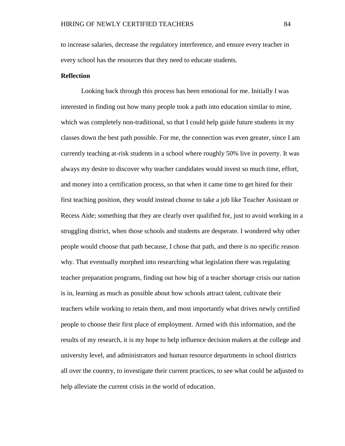to increase salaries, decrease the regulatory interference, and ensure every teacher in every school has the resources that they need to educate students.

## **Reflection**

Looking back through this process has been emotional for me. Initially I was interested in finding out how many people took a path into education similar to mine, which was completely non-traditional, so that I could help guide future students in my classes down the best path possible. For me, the connection was even greater, since I am currently teaching at-risk students in a school where roughly 50% live in poverty. It was always my desire to discover why teacher candidates would invest so much time, effort, and money into a certification process, so that when it came time to get hired for their first teaching position, they would instead choose to take a job like Teacher Assistant or Recess Aide; something that they are clearly over qualified for, just to avoid working in a struggling district, when those schools and students are desperate. I wondered why other people would choose that path because, I chose that path, and there is no specific reason why. That eventually morphed into researching what legislation there was regulating teacher preparation programs, finding out how big of a teacher shortage crisis our nation is in, learning as much as possible about how schools attract talent, cultivate their teachers while working to retain them, and most importantly what drives newly certified people to choose their first place of employment. Armed with this information, and the results of my research, it is my hope to help influence decision makers at the college and university level, and administrators and human resource departments in school districts all over the country, to investigate their current practices, to see what could be adjusted to help alleviate the current crisis in the world of education.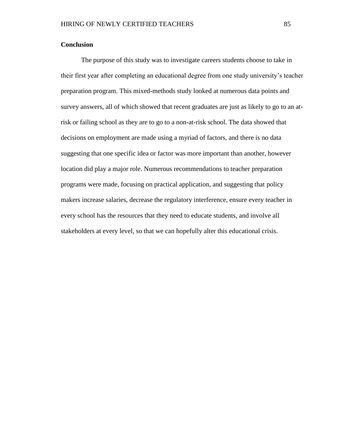# **Conclusion**

The purpose of this study was to investigate careers students choose to take in their first year after completing an educational degree from one study university's teacher preparation program. This mixed-methods study looked at numerous data points and survey answers, all of which showed that recent graduates are just as likely to go to an atrisk or failing school as they are to go to a non-at-risk school. The data showed that decisions on employment are made using a myriad of factors, and there is no data suggesting that one specific idea or factor was more important than another, however location did play a major role. Numerous recommendations to teacher preparation programs were made, focusing on practical application, and suggesting that policy makers increase salaries, decrease the regulatory interference, ensure every teacher in every school has the resources that they need to educate students, and involve all stakeholders at every level, so that we can hopefully alter this educational crisis.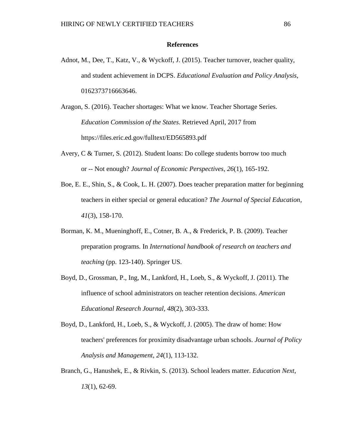## **References**

- Adnot, M., Dee, T., Katz, V., & Wyckoff, J. (2015). Teacher turnover, teacher quality, and student achievement in DCPS. *Educational Evaluation and Policy Analysis*, 0162373716663646.
- Aragon, S. (2016). Teacher shortages: What we know. Teacher Shortage Series. *Education Commission of the States*. Retrieved April, 2017 from https://files.eric.ed.gov/fulltext/ED565893.pdf
- Avery, C & Turner, S. (2012). Student loans: Do college students borrow too much or -- Not enough? *Journal of Economic Perspectives, 26*(1), 165-192.
- Boe, E. E., Shin, S., & Cook, L. H. (2007). Does teacher preparation matter for beginning teachers in either special or general education? *The Journal of Special Education*, *41*(3), 158-170.
- Borman, K. M., Mueninghoff, E., Cotner, B. A., & Frederick, P. B. (2009). Teacher preparation programs. In *International handbook of research on teachers and teaching* (pp. 123-140). Springer US.
- Boyd, D., Grossman, P., Ing, M., Lankford, H., Loeb, S., & Wyckoff, J. (2011). The influence of school administrators on teacher retention decisions. *American Educational Research Journal*, *48*(2), 303-333.
- Boyd, D., Lankford, H., Loeb, S., & Wyckoff, J. (2005). The draw of home: How teachers' preferences for proximity disadvantage urban schools. *Journal of Policy Analysis and Management*, *24*(1), 113-132.
- Branch, G., Hanushek, E., & Rivkin, S. (2013). School leaders matter. *Education Next*, *13*(1), 62-69.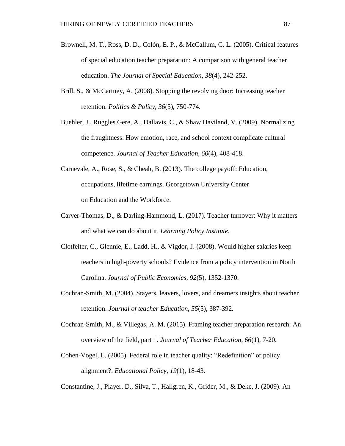- Brownell, M. T., Ross, D. D., Colón, E. P., & McCallum, C. L. (2005). Critical features of special education teacher preparation: A comparison with general teacher education. *The Journal of Special Education*, *38*(4), 242-252.
- Brill, S., & McCartney, A. (2008). Stopping the revolving door: Increasing teacher retention. *Politics & Policy*, *36*(5), 750-774.
- Buehler, J., Ruggles Gere, A., Dallavis, C., & Shaw Haviland, V. (2009). Normalizing the fraughtness: How emotion, race, and school context complicate cultural competence. *Journal of Teacher Education*, *60*(4), 408-418.
- Carnevale, A., Rose, S., & Cheah, B. (2013). The college payoff: Education, occupations, lifetime earnings. Georgetown University Center on Education and the Workforce.
- Carver-Thomas, D., & Darling-Hammond, L. (2017). Teacher turnover: Why it matters and what we can do about it. *Learning Policy Institute*.
- Clotfelter, C., Glennie, E., Ladd, H., & Vigdor, J. (2008). Would higher salaries keep teachers in high-poverty schools? Evidence from a policy intervention in North Carolina. *Journal of Public Economics*, *92*(5), 1352-1370.
- Cochran-Smith, M. (2004). Stayers, leavers, lovers, and dreamers insights about teacher retention. *Journal of teacher Education*, *55*(5), 387-392.
- Cochran-Smith, M., & Villegas, A. M. (2015). Framing teacher preparation research: An overview of the field, part 1. *Journal of Teacher Education*, *66*(1), 7-20.
- Cohen-Vogel, L. (2005). Federal role in teacher quality: "Redefinition" or policy alignment?. *Educational Policy*, *19*(1), 18-43.

Constantine, J., Player, D., Silva, T., Hallgren, K., Grider, M., & Deke, J. (2009). An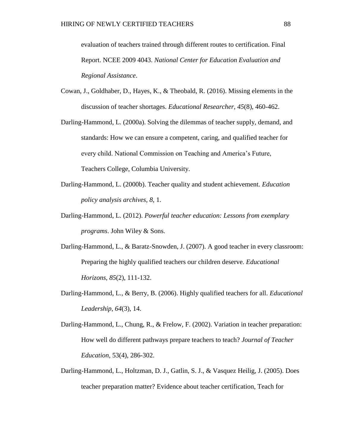evaluation of teachers trained through different routes to certification. Final Report. NCEE 2009 4043. *National Center for Education Evaluation and Regional Assistance*.

- Cowan, J., Goldhaber, D., Hayes, K., & Theobald, R. (2016). Missing elements in the discussion of teacher shortages. *Educational Researcher*, *45*(8), 460-462.
- Darling-Hammond, L. (2000a). Solving the dilemmas of teacher supply, demand, and standards: How we can ensure a competent, caring, and qualified teacher for every child. National Commission on Teaching and America's Future, Teachers College, Columbia University.
- Darling-Hammond, L. (2000b). Teacher quality and student achievement. *Education policy analysis archives*, *8*, 1.
- Darling-Hammond, L. (2012). *Powerful teacher education: Lessons from exemplary programs*. John Wiley & Sons.
- Darling-Hammond, L., & Baratz-Snowden, J. (2007). A good teacher in every classroom: Preparing the highly qualified teachers our children deserve. *Educational Horizons*, *85*(2), 111-132.
- Darling-Hammond, L., & Berry, B. (2006). Highly qualified teachers for all. *Educational Leadership*, *64*(3), 14.
- Darling-Hammond, L., Chung, R., & Frelow, F. (2002). Variation in teacher preparation: How well do different pathways prepare teachers to teach? *Journal of Teacher Education,* 53(4), 286-302.
- Darling-Hammond, L., Holtzman, D. J., Gatlin, S. J., & Vasquez Heilig, J. (2005). Does teacher preparation matter? Evidence about teacher certification, Teach for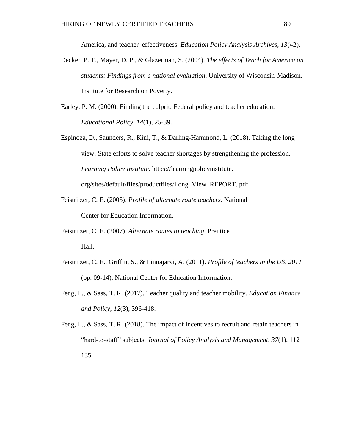America, and teacher effectiveness. *Education Policy Analysis Archives, 13*(42).

- Decker, P. T., Mayer, D. P., & Glazerman, S. (2004). *The effects of Teach for America on students: Findings from a national evaluation*. University of Wisconsin-Madison, Institute for Research on Poverty.
- Earley, P. M. (2000). Finding the culprit: Federal policy and teacher education. *Educational Policy*, *14*(1), 25-39.
- Espinoza, D., Saunders, R., Kini, T., & Darling-Hammond, L. (2018). Taking the long view: State efforts to solve teacher shortages by strengthening the profession. *Learning Policy Institute.* https://learningpolicyinstitute. org/sites/default/files/productfiles/Long\_View\_REPORT. pdf.
- Feistritzer, C. E. (2005). *Profile of alternate route teachers*. National Center for Education Information.
- Feistritzer, C. E. (2007). *Alternate routes to teaching*. Prentice Hall.
- Feistritzer, C. E., Griffin, S., & Linnajarvi, A. (2011). *Profile of teachers in the US, 2011* (pp. 09-14). National Center for Education Information.
- Feng, L., & Sass, T. R. (2017). Teacher quality and teacher mobility. *Education Finance and Policy*, *12*(3), 396-418.
- Feng, L., & Sass, T. R. (2018). The impact of incentives to recruit and retain teachers in "hard‐to‐staff" subjects. *Journal of Policy Analysis and Management*, *37*(1), 112 135.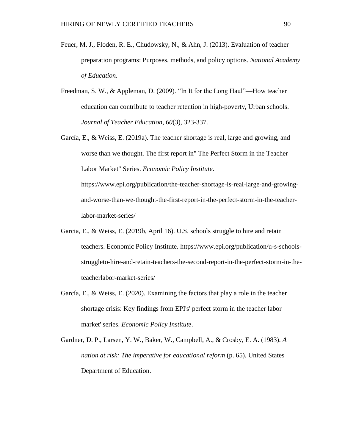- Feuer, M. J., Floden, R. E., Chudowsky, N., & Ahn, J. (2013). Evaluation of teacher preparation programs: Purposes, methods, and policy options. *National Academy of Education*.
- Freedman, S. W., & Appleman, D. (2009). "In It for the Long Haul"—How teacher education can contribute to teacher retention in high-poverty, Urban schools. *Journal of Teacher Education*, *60*(3), 323-337.
- García, E., & Weiss, E. (2019a). The teacher shortage is real, large and growing, and worse than we thought. The first report in" The Perfect Storm in the Teacher Labor Market" Series. *Economic Policy Institute*.

https://www.epi.org/publication/the-teacher-shortage-is-real-large-and-growingand-worse-than-we-thought-the-first-report-in-the-perfect-storm-in-the-teacherlabor-market-series/

- Garcia, E., & Weiss, E. (2019b, April 16). U.S. schools struggle to hire and retain teachers. Economic Policy Institute. https://www.epi.org/publication/u-s-schoolsstruggleto-hire-and-retain-teachers-the-second-report-in-the-perfect-storm-in-theteacherlabor-market-series/
- García, E., & Weiss, E. (2020). Examining the factors that play a role in the teacher shortage crisis: Key findings from EPI's' perfect storm in the teacher labor market' series. *Economic Policy Institute*.
- Gardner, D. P., Larsen, Y. W., Baker, W., Campbell, A., & Crosby, E. A. (1983). *A nation at risk: The imperative for educational reform* (p. 65). United States Department of Education.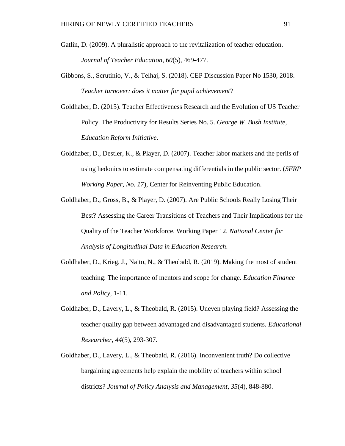- Gatlin, D. (2009). A pluralistic approach to the revitalization of teacher education. *Journal of Teacher Education*, *60*(5), 469-477.
- Gibbons, S., Scrutinio, V., & Telhaj, S. (2018). CEP Discussion Paper No 1530, 2018. *Teacher turnover: does it matter for pupil achievement*?
- Goldhaber, D. (2015). Teacher Effectiveness Research and the Evolution of US Teacher Policy. The Productivity for Results Series No. 5. *George W. Bush Institute, Education Reform Initiative*.
- Goldhaber, D., Destler, K., & Player, D. (2007). Teacher labor markets and the perils of using hedonics to estimate compensating differentials in the public sector. (*SFRP Working Paper, No. 17*), Center for Reinventing Public Education.
- Goldhaber, D., Gross, B., & Player, D. (2007). Are Public Schools Really Losing Their Best? Assessing the Career Transitions of Teachers and Their Implications for the Quality of the Teacher Workforce. Working Paper 12. *National Center for Analysis of Longitudinal Data in Education Research*.
- Goldhaber, D., Krieg, J., Naito, N., & Theobald, R. (2019). Making the most of student teaching: The importance of mentors and scope for change. *Education Finance and Policy*, 1-11.
- Goldhaber, D., Lavery, L., & Theobald, R. (2015). Uneven playing field? Assessing the teacher quality gap between advantaged and disadvantaged students. *Educational Researcher*, *44*(5), 293-307.
- Goldhaber, D., Lavery, L., & Theobald, R. (2016). Inconvenient truth? Do collective bargaining agreements help explain the mobility of teachers within school districts? *Journal of Policy Analysis and Management*, *35*(4), 848-880.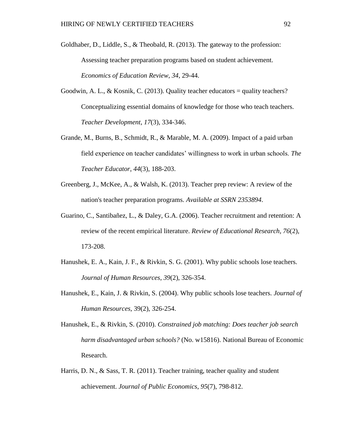- Goldhaber, D., Liddle, S., & Theobald, R. (2013). The gateway to the profession: Assessing teacher preparation programs based on student achievement. *Economics of Education Review*, *34*, 29-44.
- Goodwin, A. L., & Kosnik, C. (2013). Quality teacher educators = quality teachers? Conceptualizing essential domains of knowledge for those who teach teachers. *Teacher Development*, *17*(3), 334-346.
- Grande, M., Burns, B., Schmidt, R., & Marable, M. A. (2009). Impact of a paid urban field experience on teacher candidates' willingness to work in urban schools. *The Teacher Educator*, *44*(3), 188-203.
- Greenberg, J., McKee, A., & Walsh, K. (2013). Teacher prep review: A review of the nation's teacher preparation programs. *Available at SSRN 2353894*.
- Guarino, C., Santibañez, L., & Daley, G.A. (2006). Teacher recruitment and retention: A review of the recent empirical literature. *Review of Educational Research, 76*(2), 173-208.
- Hanushek, E. A., Kain, J. F., & Rivkin, S. G. (2001). Why public schools lose teachers. *Journal of Human Resources*, *39*(2), 326-354.
- Hanushek, E., Kain, J. & Rivkin, S. (2004). Why public schools lose teachers. *Journal of Human Resources,* 39(2), 326-254.
- Hanushek, E., & Rivkin, S. (2010). *Constrained job matching: Does teacher job search harm disadvantaged urban schools?* (No. w15816). National Bureau of Economic Research.
- Harris, D. N., & Sass, T. R. (2011). Teacher training, teacher quality and student achievement. *Journal of Public Economics*, *95*(7), 798-812.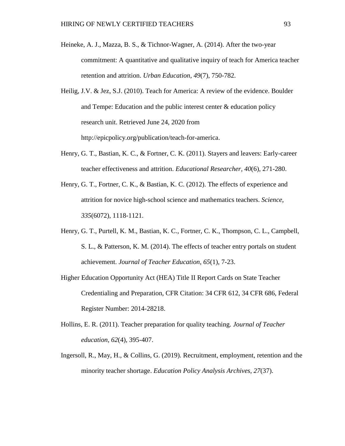- Heineke, A. J., Mazza, B. S., & Tichnor-Wagner, A. (2014). After the two-year commitment: A quantitative and qualitative inquiry of teach for America teacher retention and attrition. *Urban Education*, *49*(7), 750-782.
- Heilig, J.V. & Jez, S.J. (2010). Teach for America: A review of the evidence. Boulder and Tempe: Education and the public interest center & education policy research unit. Retrieved June 24, 2020 from http://epicpolicy.org/publication/teach-for-america.
- Henry, G. T., Bastian, K. C., & Fortner, C. K. (2011). Stayers and leavers: Early-career teacher effectiveness and attrition. *Educational Researcher*, *40*(6), 271-280.
- Henry, G. T., Fortner, C. K., & Bastian, K. C. (2012). The effects of experience and attrition for novice high-school science and mathematics teachers. *Science*, *335*(6072), 1118-1121.
- Henry, G. T., Purtell, K. M., Bastian, K. C., Fortner, C. K., Thompson, C. L., Campbell, S. L., & Patterson, K. M. (2014). The effects of teacher entry portals on student achievement. *Journal of Teacher Education*, *65*(1), 7-23.
- Higher Education Opportunity Act (HEA) Title II Report Cards on State Teacher Credentialing and Preparation, CFR Citation: 34 CFR 612, 34 CFR 686, Federal Register Number: 2014-28218.
- Hollins, E. R. (2011). Teacher preparation for quality teaching. *Journal of Teacher education*, *62*(4), 395-407.
- Ingersoll, R., May, H., & Collins, G. (2019). Recruitment, employment, retention and the minority teacher shortage. *Education Policy Analysis Archives, 27*(37).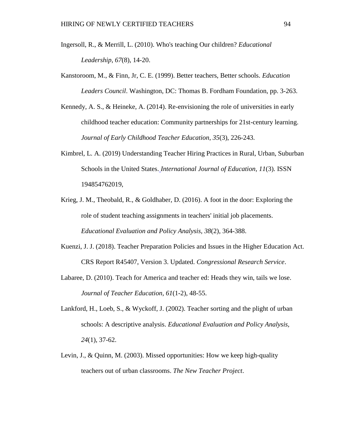- Ingersoll, R., & Merrill, L. (2010). Who's teaching Our children? *Educational Leadership*, *67*(8), 14-20.
- Kanstoroom, M., & Finn, Jr, C. E. (1999). Better teachers, Better schools. *Education Leaders Council*. Washington, DC: Thomas B. Fordham Foundation, pp. 3-263.
- Kennedy, A. S., & Heineke, A. (2014). Re-envisioning the role of universities in early childhood teacher education: Community partnerships for 21st-century learning. *Journal of Early Childhood Teacher Education*, *35*(3), 226-243.
- Kimbrel, L. A. (2019) Understanding Teacher Hiring Practices in Rural, Urban, Suburban Schools in the United States. *International Journal of Education, 11*(3). ISSN 194854762019,
- Krieg, J. M., Theobald, R., & Goldhaber, D. (2016). A foot in the door: Exploring the role of student teaching assignments in teachers' initial job placements. *Educational Evaluation and Policy Analysis, 38*(2), 364-388.
- Kuenzi, J. J. (2018). Teacher Preparation Policies and Issues in the Higher Education Act. CRS Report R45407, Version 3. Updated. *Congressional Research Service*.
- Labaree, D. (2010). Teach for America and teacher ed: Heads they win, tails we lose. *Journal of Teacher Education*, *61*(1-2), 48-55.
- Lankford, H., Loeb, S., & Wyckoff, J. (2002). Teacher sorting and the plight of urban schools: A descriptive analysis. *Educational Evaluation and Policy Analysis, 24*(1), 37-62.
- Levin, J., & Quinn, M. (2003). Missed opportunities: How we keep high-quality teachers out of urban classrooms. *The New Teacher Project*.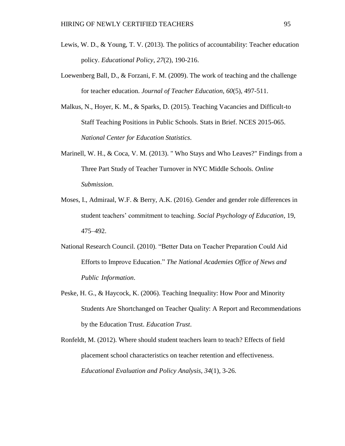- Lewis, W. D., & Young, T. V. (2013). The politics of accountability: Teacher education policy. *Educational Policy*, *27*(2), 190-216.
- Loewenberg Ball, D., & Forzani, F. M. (2009). The work of teaching and the challenge for teacher education. *Journal of Teacher Education*, *60*(5), 497-511.
- Malkus, N., Hoyer, K. M., & Sparks, D. (2015). Teaching Vacancies and Difficult-to Staff Teaching Positions in Public Schools. Stats in Brief. NCES 2015-065. *National Center for Education Statistics*.
- Marinell, W. H., & Coca, V. M. (2013). " Who Stays and Who Leaves?" Findings from a Three Part Study of Teacher Turnover in NYC Middle Schools. *Online Submission*.
- Moses, I., Admiraal, W.F. & Berry, A.K. (2016). Gender and gender role differences in student teachers' commitment to teaching. *Social Psychology of Education,* 19, 475–492.
- National Research Council. (2010). "Better Data on Teacher Preparation Could Aid Efforts to Improve Education." *The National Academies Office of News and Public Information*.
- Peske, H. G., & Haycock, K. (2006). Teaching Inequality: How Poor and Minority Students Are Shortchanged on Teacher Quality: A Report and Recommendations by the Education Trust. *Education Trust*.

Ronfeldt, M. (2012). Where should student teachers learn to teach? Effects of field placement school characteristics on teacher retention and effectiveness. *Educational Evaluation and Policy Analysis*, *34*(1), 3-26.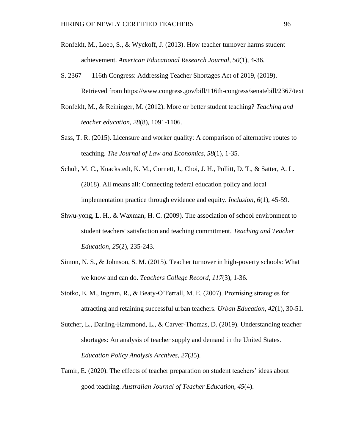- Ronfeldt, M., Loeb, S., & Wyckoff, J. (2013). How teacher turnover harms student achievement. *American Educational Research Journal*, *50*(1), 4-36.
- S. 2367 116th Congress: Addressing Teacher Shortages Act of 2019, (2019). Retrieved from https://www.congress.gov/bill/116th-congress/senatebill/2367/text
- Ronfeldt, M., & Reininger, M. (2012). More or better student teaching? *Teaching and teacher education*, *28*(8), 1091-1106.
- Sass, T. R. (2015). Licensure and worker quality: A comparison of alternative routes to teaching. *The Journal of Law and Economics*, *58*(1), 1-35.
- Schuh, M. C., Knackstedt, K. M., Cornett, J., Choi, J. H., Pollitt, D. T., & Satter, A. L. (2018). All means all: Connecting federal education policy and local implementation practice through evidence and equity. *Inclusion*, *6*(1), 45-59.
- Shwu-yong, L. H., & Waxman, H. C. (2009). The association of school environment to student teachers' satisfaction and teaching commitment. *Teaching and Teacher Education*, *25*(2), 235-243.
- Simon, N. S., & Johnson, S. M. (2015). Teacher turnover in high-poverty schools: What we know and can do. *Teachers College Record*, *117*(3), 1-36.
- Stotko, E. M., Ingram, R., & Beaty-O'Ferrall, M. E. (2007). Promising strategies for attracting and retaining successful urban teachers. *Urban Education*, *42*(1), 30-51.
- Sutcher, L., Darling-Hammond, L., & Carver-Thomas, D. (2019). Understanding teacher shortages: An analysis of teacher supply and demand in the United States. *Education Policy Analysis Archives*, *27*(35).
- Tamir, E. (2020). The effects of teacher preparation on student teachers' ideas about good teaching. *Australian Journal of Teacher Education, 45*(4).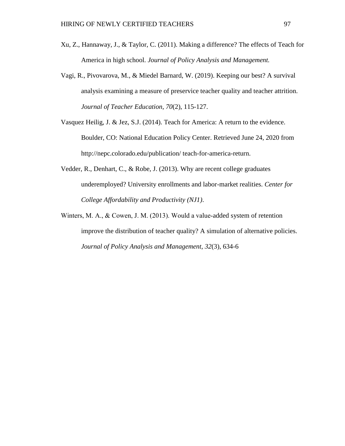- Xu, Z., Hannaway, J., & Taylor, C. (2011). Making a difference? The effects of Teach for America in high school. *Journal of Policy Analysis and Management.*
- Vagi, R., Pivovarova, M., & Miedel Barnard, W. (2019). Keeping our best? A survival analysis examining a measure of preservice teacher quality and teacher attrition. *Journal of Teacher Education*, *70*(2), 115-127.
- Vasquez Heilig, J. & Jez, S.J. (2014). Teach for America: A return to the evidence. Boulder, CO: National Education Policy Center. Retrieved June 24, 2020 from http://nepc.colorado.edu/publication/ teach-for-america-return.
- Vedder, R., Denhart, C., & Robe, J. (2013). Why are recent college graduates underemployed? University enrollments and labor-market realities. *Center for College Affordability and Productivity (NJ1)*.
- Winters, M. A., & Cowen, J. M. (2013). Would a value-added system of retention improve the distribution of teacher quality? A simulation of alternative policies. *Journal of Policy Analysis and Management*, *32*(3), 634-6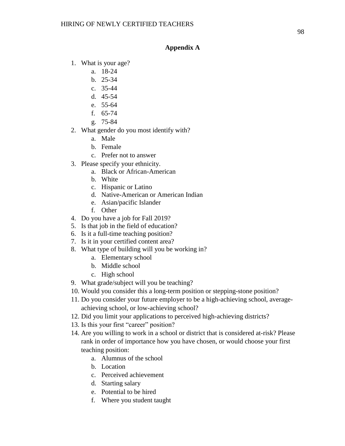## **Appendix A**

- 1. What is your age?
	- a. 18-24
		- b. 25-34
		- c. 35-44
		- d. 45-54
		- e. 55-64
		- f. 65-74
		- g. 75-84
- 2. What gender do you most identify with?
	- a. Male
	- b. Female
	- c. Prefer not to answer
- 3. Please specify your ethnicity.
	- a. Black or African-American
	- b. White
	- c. Hispanic or Latino
	- d. Native-American or American Indian
	- e. Asian/pacific Islander
	- f. Other
- 4. Do you have a job for Fall 2019?
- 5. Is that job in the field of education?
- 6. Is it a full-time teaching position?
- 7. Is it in your certified content area?
- 8. What type of building will you be working in?
	- a. Elementary school
	- b. Middle school
	- c. High school
- 9. What grade/subject will you be teaching?
- 10. Would you consider this a long-term position or stepping-stone position?
- 11. Do you consider your future employer to be a high-achieving school, averageachieving school, or low-achieving school?
- 12. Did you limit your applications to perceived high-achieving districts?
- 13. Is this your first "career" position?
- 14. Are you willing to work in a school or district that is considered at-risk? Please rank in order of importance how you have chosen, or would choose your first teaching position:
	- a. Alumnus of the school
	- b. Location
	- c. Perceived achievement
	- d. Starting salary
	- e. Potential to be hired
	- f. Where you student taught